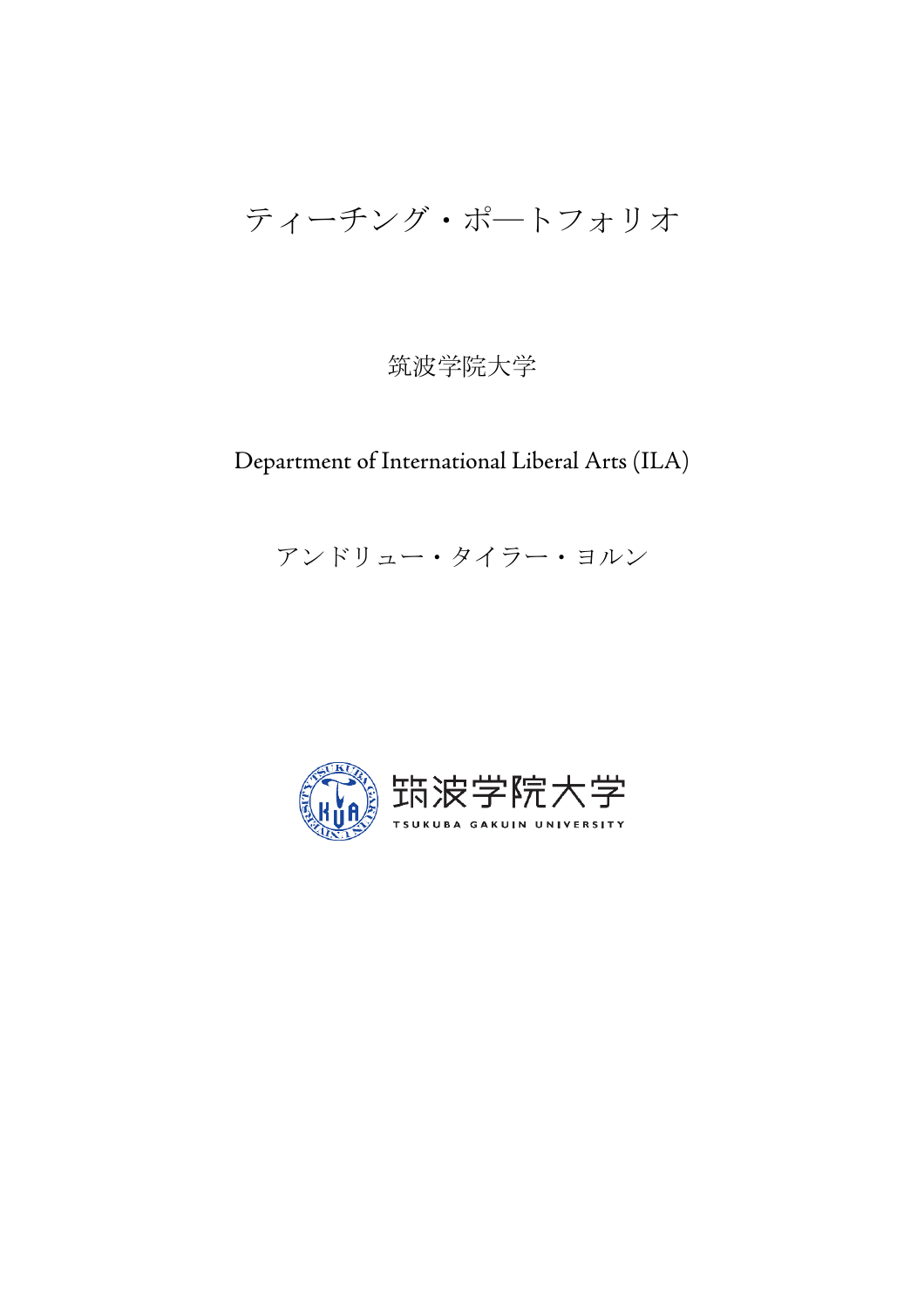# ティーチング・ポ―トフォリオ

# 筑波学院大学

# Department of International Liberal Arts (ILA)

# アンドリュー・タイラー・ヨルン

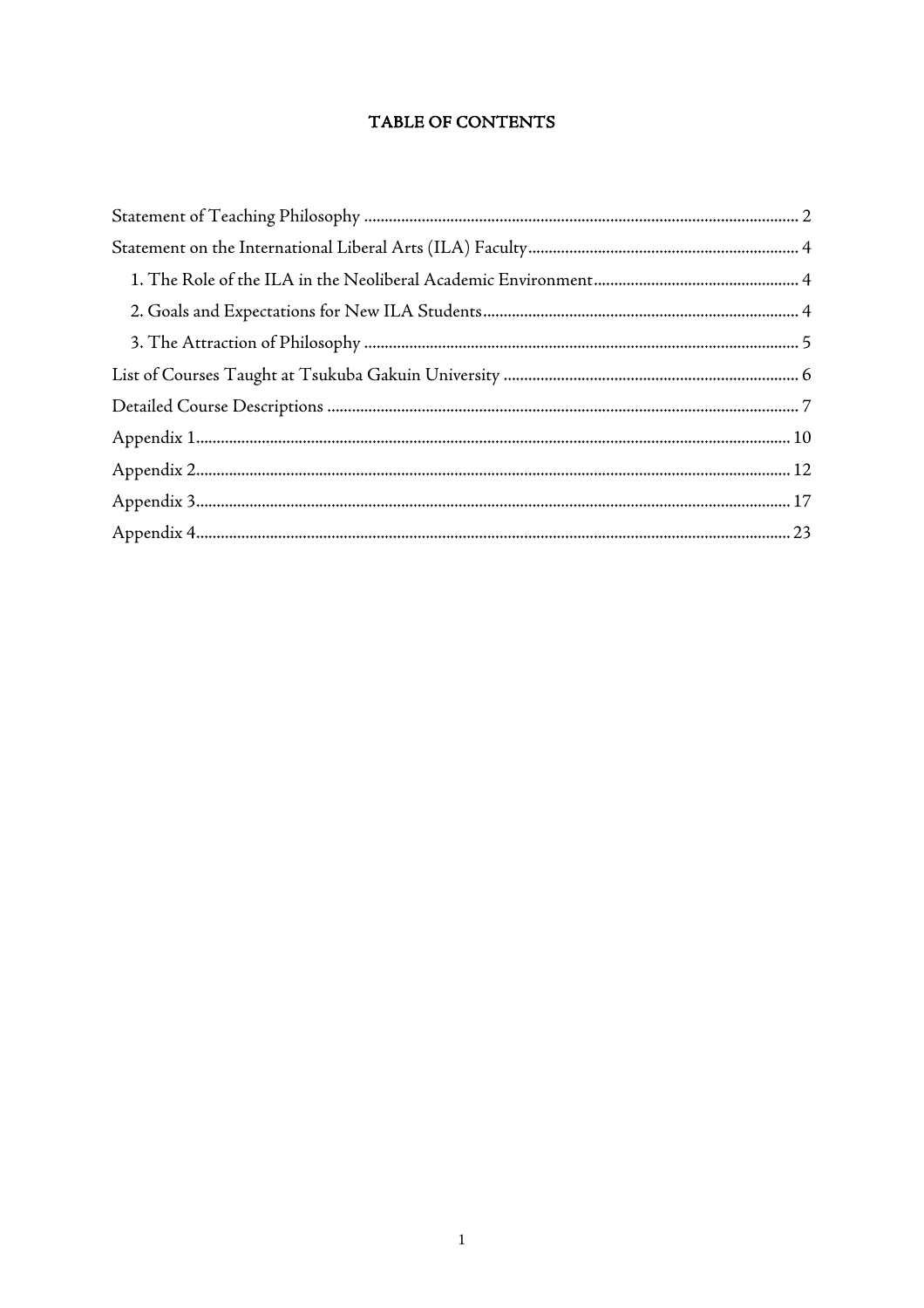# TABLE OF CONTENTS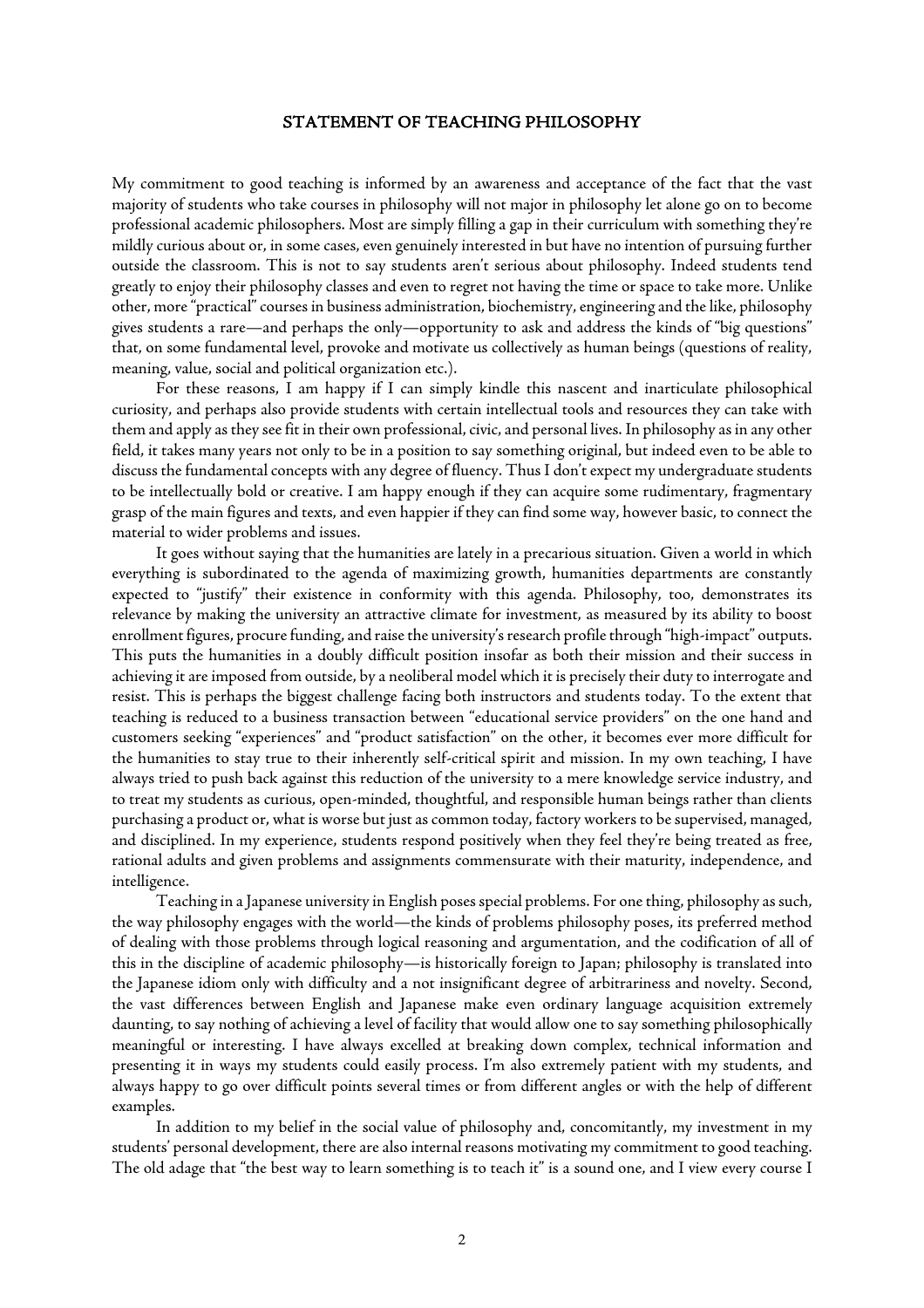#### STATEMENT OF TEACHING PHILOSOPHY

My commitment to good teaching is informed by an awareness and acceptance of the fact that the vast majority of students who take courses in philosophy will not major in philosophy let alone go on to become professional academic philosophers. Most are simply filling a gap in their curriculum with something they're mildly curious about or, in some cases, even genuinely interested in but have no intention of pursuing further outside the classroom. This is not to say students aren't serious about philosophy. Indeed students tend greatly to enjoy their philosophy classes and even to regret not having the time or space to take more. Unlike other, more "practical" courses in business administration, biochemistry, engineering and the like, philosophy gives students a rare—and perhaps the only—opportunity to ask and address the kinds of "big questions" that, on some fundamental level, provoke and motivate us collectively as human beings (questions of reality, meaning, value, social and political organization etc.).

For these reasons, I am happy if I can simply kindle this nascent and inarticulate philosophical curiosity, and perhaps also provide students with certain intellectual tools and resources they can take with them and apply as they see fit in their own professional, civic, and personal lives. In philosophy as in any other field, it takes many years not only to be in a position to say something original, but indeed even to be able to discuss the fundamental concepts with any degree of fluency. Thus I don't expect my undergraduate students to be intellectually bold or creative. I am happy enough if they can acquire some rudimentary, fragmentary grasp of the main figures and texts, and even happier if they can find some way, however basic, to connect the material to wider problems and issues.

It goes without saying that the humanities are lately in a precarious situation. Given a world in which everything is subordinated to the agenda of maximizing growth, humanities departments are constantly expected to "justify" their existence in conformity with this agenda. Philosophy, too, demonstrates its relevance by making the university an attractive climate for investment, as measured by its ability to boost enrollment figures, procure funding, and raise the university's research profile through "high-impact" outputs. This puts the humanities in a doubly difficult position insofar as both their mission and their success in achieving it are imposed from outside, by a neoliberal model which it is precisely their duty to interrogate and resist. This is perhaps the biggest challenge facing both instructors and students today. To the extent that teaching is reduced to a business transaction between "educational service providers" on the one hand and customers seeking "experiences" and "product satisfaction" on the other, it becomes ever more difficult for the humanities to stay true to their inherently self-critical spirit and mission. In my own teaching, I have always tried to push back against this reduction of the university to a mere knowledge service industry, and to treat my students as curious, open-minded, thoughtful, and responsible human beings rather than clients purchasing a product or, what is worse but just as common today, factory workers to be supervised, managed, and disciplined. In my experience, students respond positively when they feel they're being treated as free, rational adults and given problems and assignments commensurate with their maturity, independence, and intelligence.

Teaching in a Japanese university in English poses special problems. For one thing, philosophy as such, the way philosophy engages with the world—the kinds of problems philosophy poses, its preferred method of dealing with those problems through logical reasoning and argumentation, and the codification of all of this in the discipline of academic philosophy—is historically foreign to Japan; philosophy is translated into the Japanese idiom only with difficulty and a not insignificant degree of arbitrariness and novelty. Second, the vast differences between English and Japanese make even ordinary language acquisition extremely daunting, to say nothing of achieving a level of facility that would allow one to say something philosophically meaningful or interesting. I have always excelled at breaking down complex, technical information and presenting it in ways my students could easily process. I'm also extremely patient with my students, and always happy to go over difficult points several times or from different angles or with the help of different examples.

In addition to my belief in the social value of philosophy and, concomitantly, my investment in my students' personal development, there are also internal reasons motivating my commitment to good teaching. The old adage that "the best way to learn something is to teach it" is a sound one, and I view every course I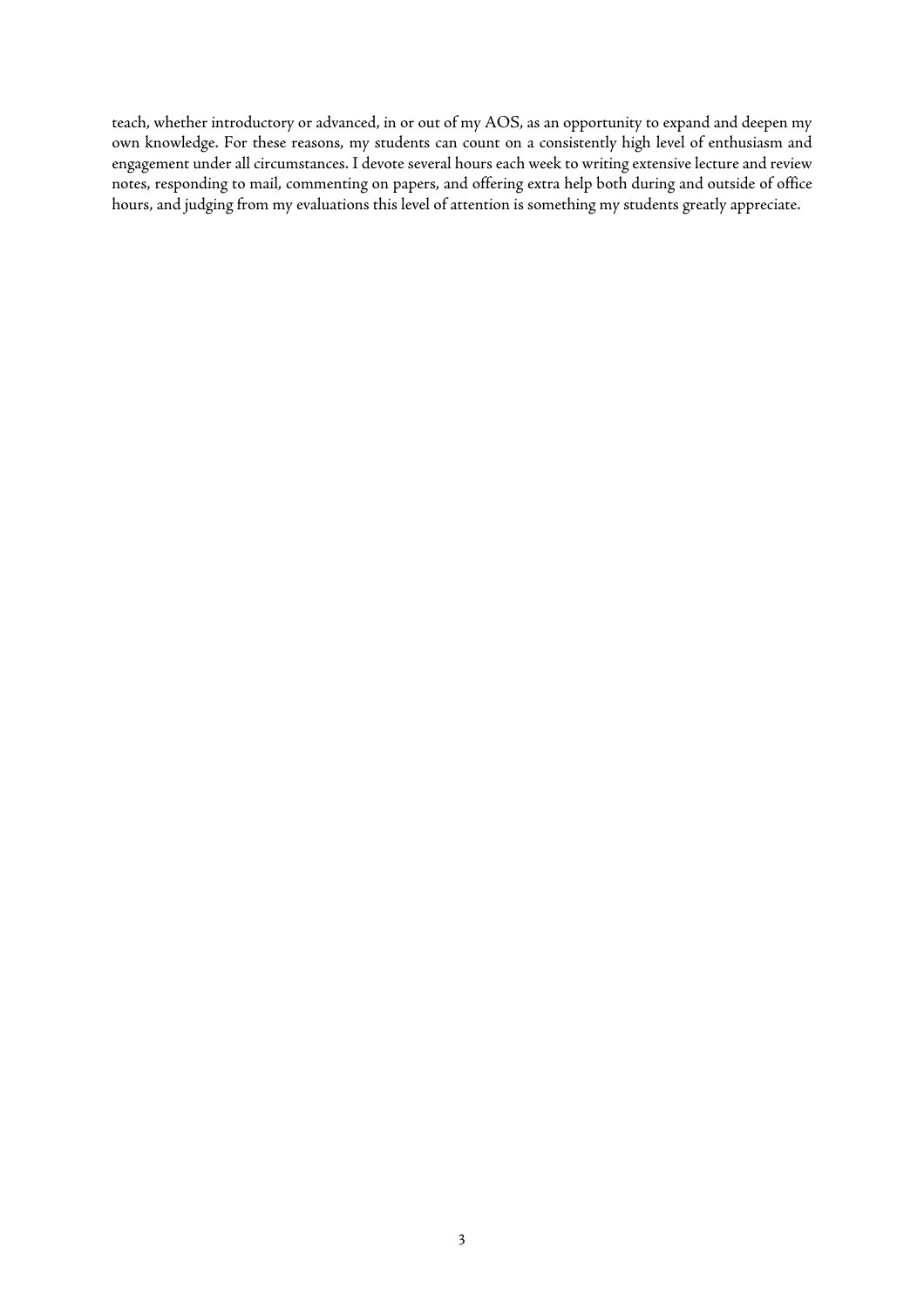teach, whether introductory or advanced, in or out of my AOS, as an opportunity to expand and deepen my own knowledge. For these reasons, my students can count on a consistently high level of enthusiasm and engagement under all circumstances. I devote several hours each week to writing extensive lecture and review notes, responding to mail, commenting on papers, and offering extra help both during and outside of office hours, and judging from my evaluations this level of attention is something my students greatly appreciate.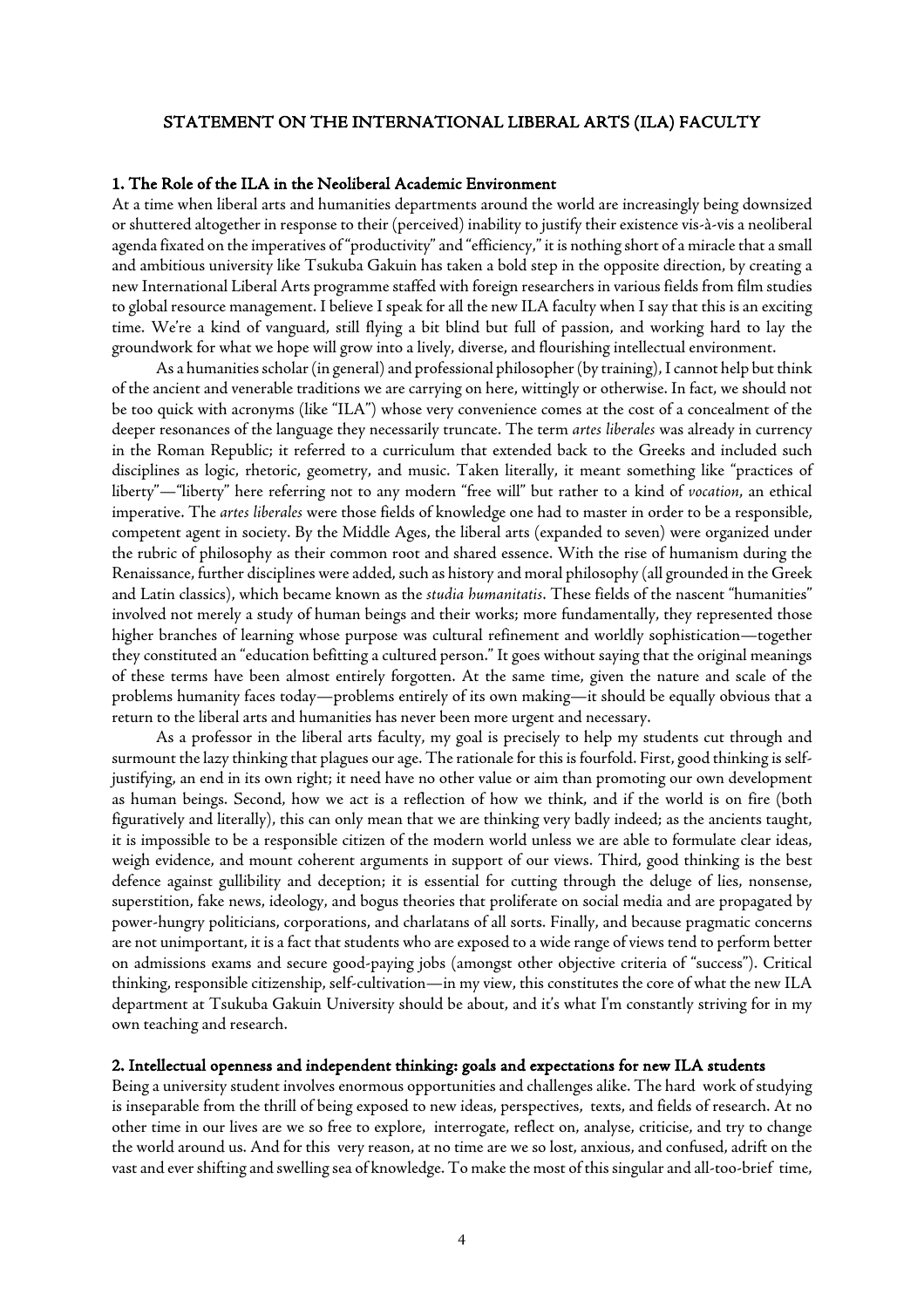#### STATEMENT ON THE INTERNATIONAL LIBERAL ARTS (ILA) FACULTY

#### 1. The Role of the ILA in the Neoliberal Academic Environment

At a time when liberal arts and humanities departments around the world are increasingly being downsized or shuttered altogether in response to their (perceived) inability to justify their existence vis-à-vis a neoliberal agenda fixated on the imperatives of "productivity" and "efficiency," it is nothing short of a miracle that a small and ambitious university like Tsukuba Gakuin has taken a bold step in the opposite direction, by creating a new International Liberal Arts programme staffed with foreign researchers in various fields from film studies to global resource management. I believe I speak for all the new ILA faculty when I say that this is an exciting time. We're a kind of vanguard, still flying a bit blind but full of passion, and working hard to lay the groundwork for what we hope will grow into a lively, diverse, and flourishing intellectual environment.

As a humanities scholar (in general) and professional philosopher (by training), I cannot help but think of the ancient and venerable traditions we are carrying on here, wittingly or otherwise. In fact, we should not be too quick with acronyms (like "ILA") whose very convenience comes at the cost of a concealment of the deeper resonances of the language they necessarily truncate. The term *artes liberales* was already in currency in the Roman Republic; it referred to a curriculum that extended back to the Greeks and included such disciplines as logic, rhetoric, geometry, and music. Taken literally, it meant something like "practices of liberty"—"liberty" here referring not to any modern "free will" but rather to a kind of *vocation*, an ethical imperative. The *artes liberales* were those fields of knowledge one had to master in order to be a responsible, competent agent in society. By the Middle Ages, the liberal arts (expanded to seven) were organized under the rubric of philosophy as their common root and shared essence. With the rise of humanism during the Renaissance, further disciplines were added, such as history and moral philosophy (all grounded in the Greek and Latin classics), which became known as the *studia humanitatis*. These fields of the nascent "humanities" involved not merely a study of human beings and their works; more fundamentally, they represented those higher branches of learning whose purpose was cultural refinement and worldly sophistication—together they constituted an "education befitting a cultured person." It goes without saying that the original meanings of these terms have been almost entirely forgotten. At the same time, given the nature and scale of the problems humanity faces today—problems entirely of its own making—it should be equally obvious that a return to the liberal arts and humanities has never been more urgent and necessary.

As a professor in the liberal arts faculty, my goal is precisely to help my students cut through and surmount the lazy thinking that plagues our age. The rationale for this is fourfold. First, good thinking is selfjustifying, an end in its own right; it need have no other value or aim than promoting our own development as human beings. Second, how we act is a reflection of how we think, and if the world is on fire (both figuratively and literally), this can only mean that we are thinking very badly indeed; as the ancients taught, it is impossible to be a responsible citizen of the modern world unless we are able to formulate clear ideas, weigh evidence, and mount coherent arguments in support of our views. Third, good thinking is the best defence against gullibility and deception; it is essential for cutting through the deluge of lies, nonsense, superstition, fake news, ideology, and bogus theories that proliferate on social media and are propagated by power-hungry politicians, corporations, and charlatans of all sorts. Finally, and because pragmatic concerns are not unimportant, it is a fact that students who are exposed to a wide range of views tend to perform better on admissions exams and secure good-paying jobs (amongst other objective criteria of "success"). Critical thinking, responsible citizenship, self-cultivation—in my view, this constitutes the core of what the new ILA department at Tsukuba Gakuin University should be about, and it's what I'm constantly striving for in my own teaching and research.

#### 2. Intellectual openness and independent thinking: goals and expectations for new ILA students

Being a university student involves enormous opportunities and challenges alike. The hard work of studying is inseparable from the thrill of being exposed to new ideas, perspectives, texts, and fields of research. At no other time in our lives are we so free to explore, interrogate, reflect on, analyse, criticise, and try to change the world around us. And for this very reason, at no time are we so lost, anxious, and confused, adrift on the vast and ever shifting and swelling sea of knowledge. To make the most of this singular and all-too-brief time,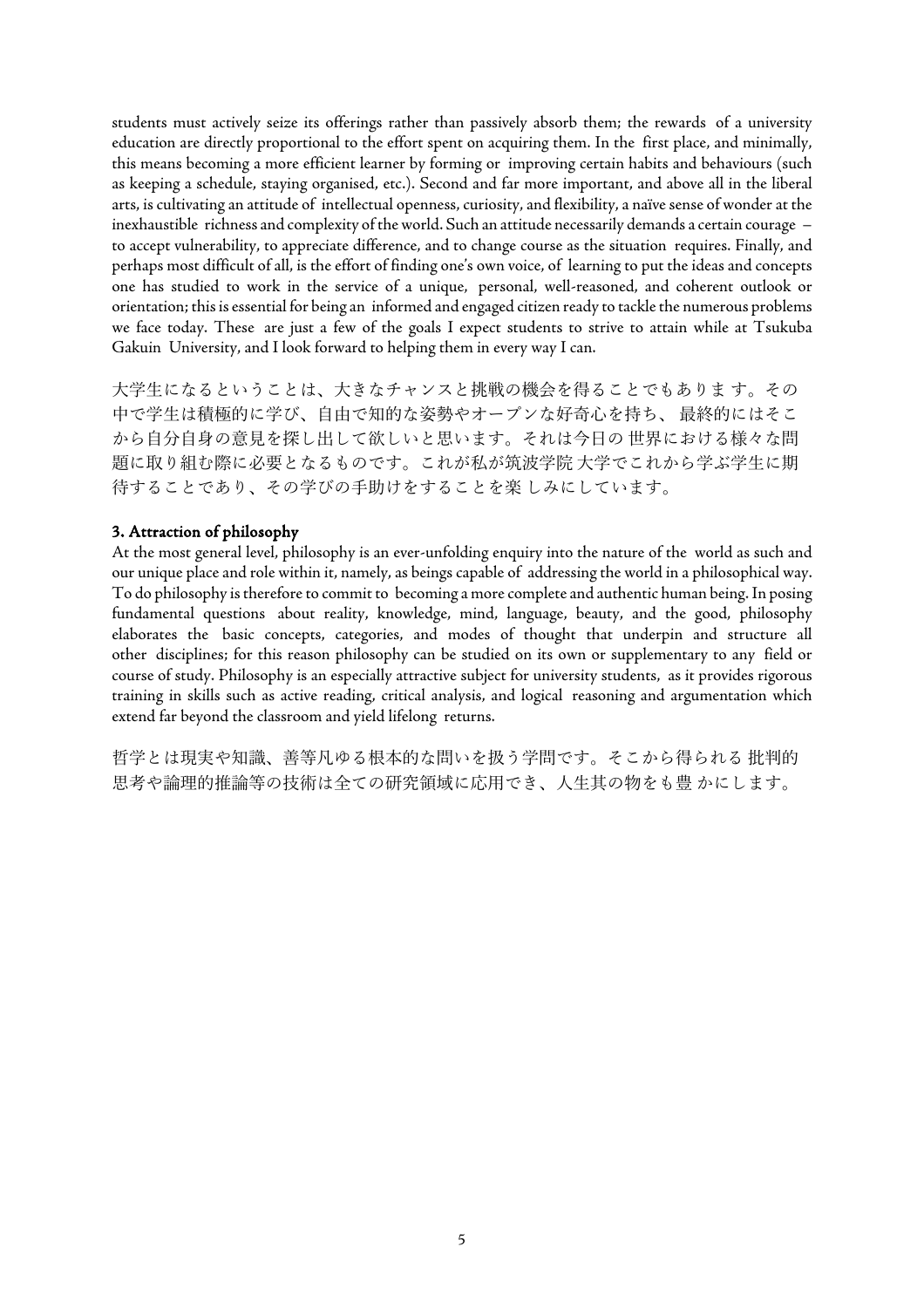students must actively seize its offerings rather than passively absorb them; the rewards of a university education are directly proportional to the effort spent on acquiring them. In the first place, and minimally, this means becoming a more efficient learner by forming or improving certain habits and behaviours (such as keeping a schedule, staying organised, etc.). Second and far more important, and above all in the liberal arts, is cultivating an attitude of intellectual openness, curiosity, and flexibility, a naïve sense of wonder at the inexhaustible richness and complexity of the world. Such an attitude necessarily demands a certain courage – to accept vulnerability, to appreciate difference, and to change course as the situation requires. Finally, and perhaps most difficult of all, is the effort of finding one's own voice, of learning to put the ideas and concepts one has studied to work in the service of a unique, personal, well-reasoned, and coherent outlook or orientation; this is essential for being an informed and engaged citizen ready to tackle the numerous problems we face today. These are just a few of the goals I expect students to strive to attain while at Tsukuba Gakuin University, and I look forward to helping them in every way I can.

⼤学⽣になるということは、⼤きなチャンスと挑戦の機会を得ることでもありま す。その 中で学生は積極的に学び、自由で知的な姿勢やオープンな好奇心を持ち、最終的にはそこ から自分自身の意見を探し出して欲しいと思います。それは今日の世界における様々な問 題に取り組む際に必要となるものです。これが私が筑波学院大学でこれから学ぶ学生に期 待することであり、その学びの⼿助けをすることを楽 しみにしています。

#### 3. Attraction of philosophy

At the most general level, philosophy is an ever-unfolding enquiry into the nature of the world as such and our unique place and role within it, namely, as beings capable of addressing the world in a philosophical way. To do philosophy is therefore to commit to becoming a more complete and authentic human being. In posing fundamental questions about reality, knowledge, mind, language, beauty, and the good, philosophy elaborates the basic concepts, categories, and modes of thought that underpin and structure all other disciplines; for this reason philosophy can be studied on its own or supplementary to any field or course of study. Philosophy is an especially attractive subject for university students, as it provides rigorous training in skills such as active reading, critical analysis, and logical reasoning and argumentation which extend far beyond the classroom and yield lifelong returns.

哲学とは現実や知識、善等凡ゆる根本的な問いを扱う学問です。そこから得られる 批判的 思考や論理的推論等の技術は全ての研究領域に応⽤でき、⼈⽣其の物をも豊 かにします。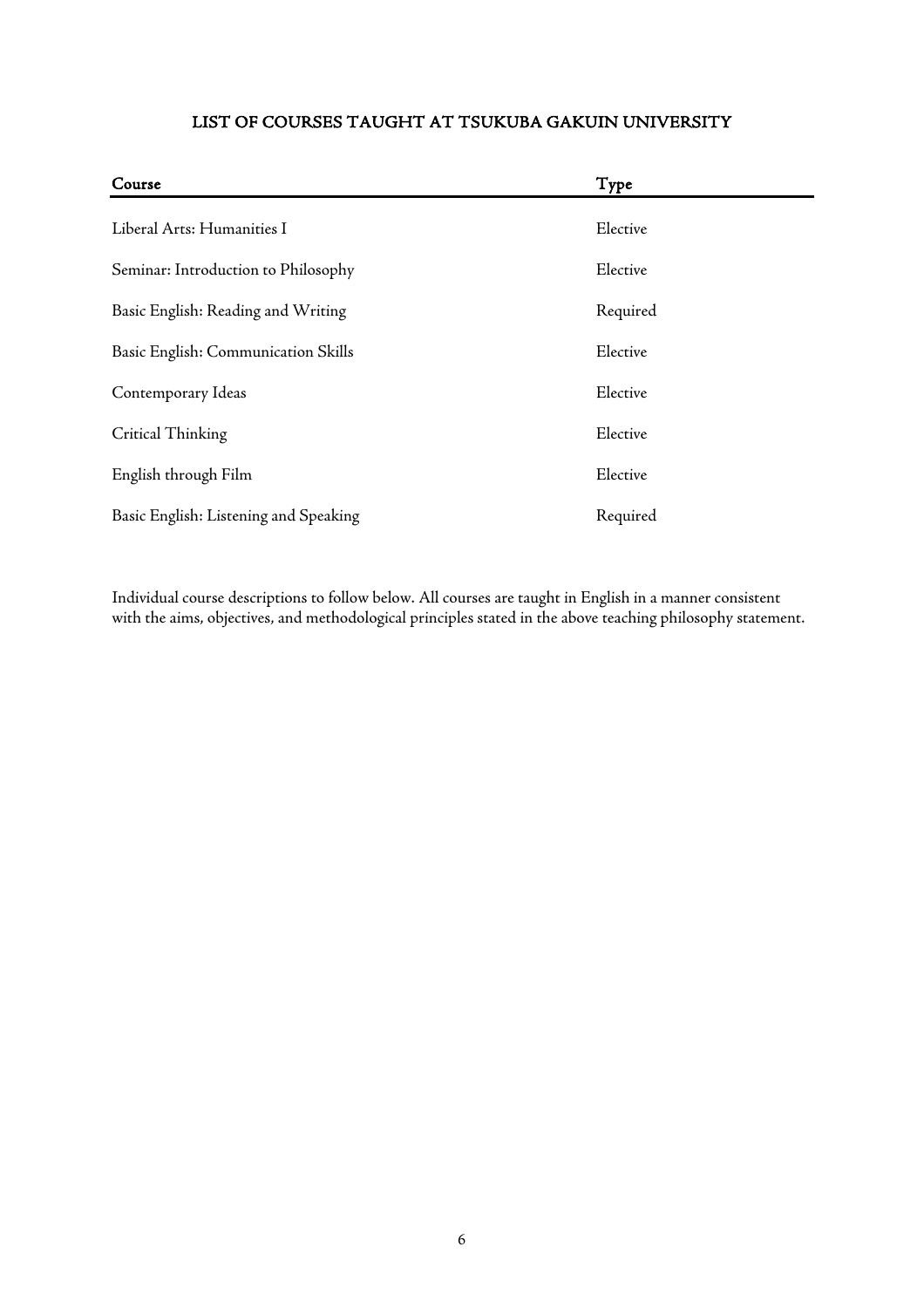# LIST OF COURSES TAUGHT AT TSUKUBA GAKUIN UNIVERSITY

| Course                                | Type     |
|---------------------------------------|----------|
| Liberal Arts: Humanities I            | Elective |
| Seminar: Introduction to Philosophy   | Elective |
| Basic English: Reading and Writing    | Required |
| Basic English: Communication Skills   | Elective |
| Contemporary Ideas                    | Elective |
| Critical Thinking                     | Elective |
| English through Film                  | Elective |
| Basic English: Listening and Speaking | Required |

Individual course descriptions to follow below. All courses are taught in English in a manner consistent with the aims, objectives, and methodological principles stated in the above teaching philosophy statement.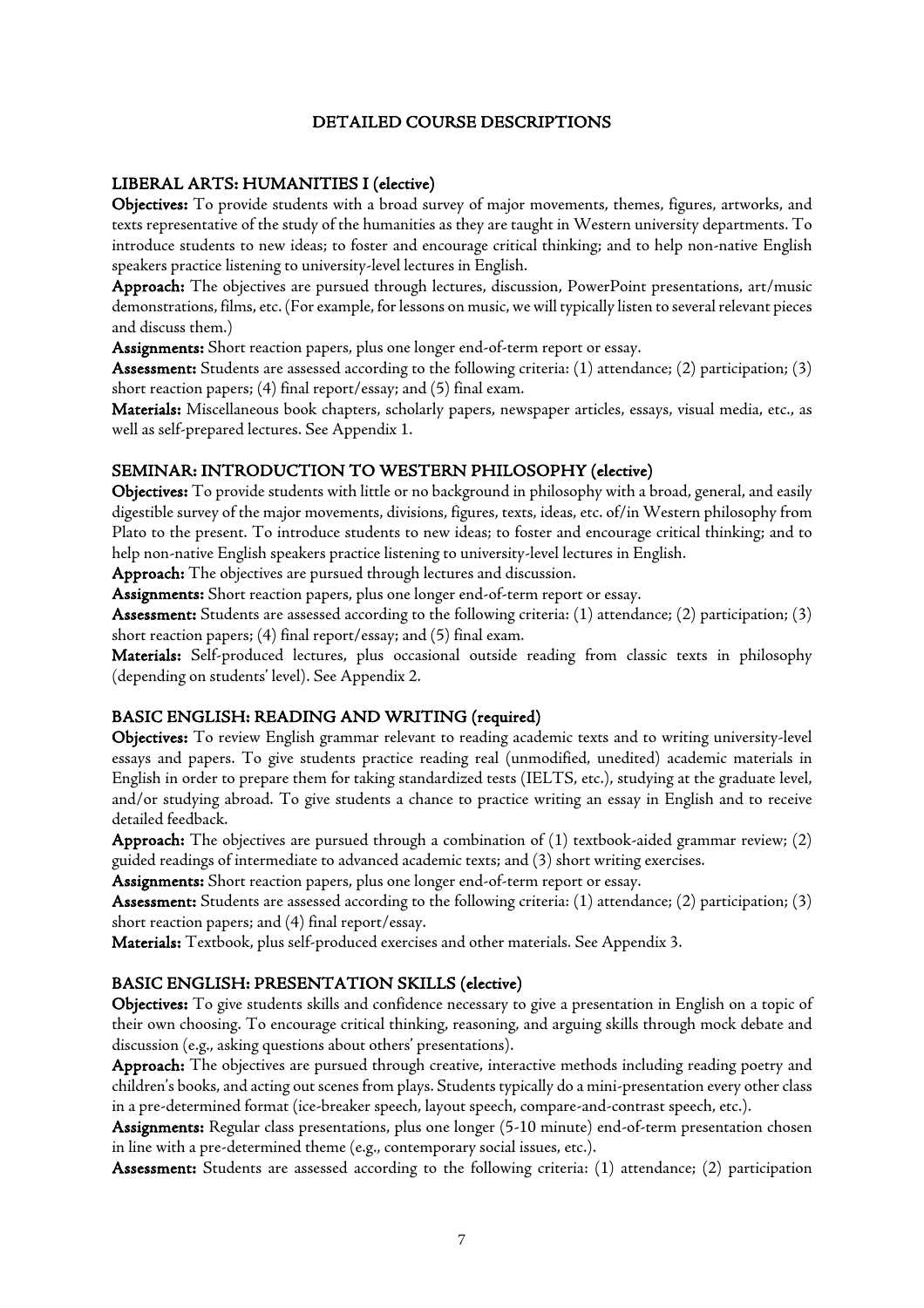#### DETAILED COURSE DESCRIPTIONS

# LIBERAL ARTS: HUMANITIES I (elective)

Objectives: To provide students with a broad survey of major movements, themes, figures, artworks, and texts representative of the study of the humanities as they are taught in Western university departments. To introduce students to new ideas; to foster and encourage critical thinking; and to help non-native English speakers practice listening to university-level lectures in English.

Approach: The objectives are pursued through lectures, discussion, PowerPoint presentations, art/music demonstrations, films, etc. (For example, for lessons on music, we will typically listen to several relevant pieces and discuss them.)

Assignments: Short reaction papers, plus one longer end-of-term report or essay.

Assessment: Students are assessed according to the following criteria: (1) attendance; (2) participation; (3) short reaction papers; (4) final report/essay; and (5) final exam.

Materials: Miscellaneous book chapters, scholarly papers, newspaper articles, essays, visual media, etc., as well as self-prepared lectures. See Appendix 1.

# SEMINAR: INTRODUCTION TO WESTERN PHILOSOPHY (elective)

Objectives: To provide students with little or no background in philosophy with a broad, general, and easily digestible survey of the major movements, divisions, figures, texts, ideas, etc. of/in Western philosophy from Plato to the present. To introduce students to new ideas; to foster and encourage critical thinking; and to help non-native English speakers practice listening to university-level lectures in English.

Approach: The objectives are pursued through lectures and discussion.

Assignments: Short reaction papers, plus one longer end-of-term report or essay.

Assessment: Students are assessed according to the following criteria: (1) attendance; (2) participation; (3) short reaction papers; (4) final report/essay; and (5) final exam.

Materials: Self-produced lectures, plus occasional outside reading from classic texts in philosophy (depending on students' level). See Appendix 2.

#### BASIC ENGLISH: READING AND WRITING (required)

Objectives: To review English grammar relevant to reading academic texts and to writing university-level essays and papers. To give students practice reading real (unmodified, unedited) academic materials in English in order to prepare them for taking standardized tests (IELTS, etc.), studying at the graduate level, and/or studying abroad. To give students a chance to practice writing an essay in English and to receive detailed feedback.

Approach: The objectives are pursued through a combination of (1) textbook-aided grammar review; (2) guided readings of intermediate to advanced academic texts; and (3) short writing exercises.

Assignments: Short reaction papers, plus one longer end-of-term report or essay.

Assessment: Students are assessed according to the following criteria: (1) attendance; (2) participation; (3) short reaction papers; and (4) final report/essay.

Materials: Textbook, plus self-produced exercises and other materials. See Appendix 3.

# BASIC ENGLISH: PRESENTATION SKILLS (elective)

Objectives: To give students skills and confidence necessary to give a presentation in English on a topic of their own choosing. To encourage critical thinking, reasoning, and arguing skills through mock debate and discussion (e.g., asking questions about others' presentations).

Approach: The objectives are pursued through creative, interactive methods including reading poetry and children's books, and acting out scenes from plays. Students typically do a mini-presentation every other class in a pre-determined format (ice-breaker speech, layout speech, compare-and-contrast speech, etc.).

Assignments: Regular class presentations, plus one longer (5-10 minute) end-of-term presentation chosen in line with a pre-determined theme (e.g., contemporary social issues, etc.).

Assessment: Students are assessed according to the following criteria: (1) attendance; (2) participation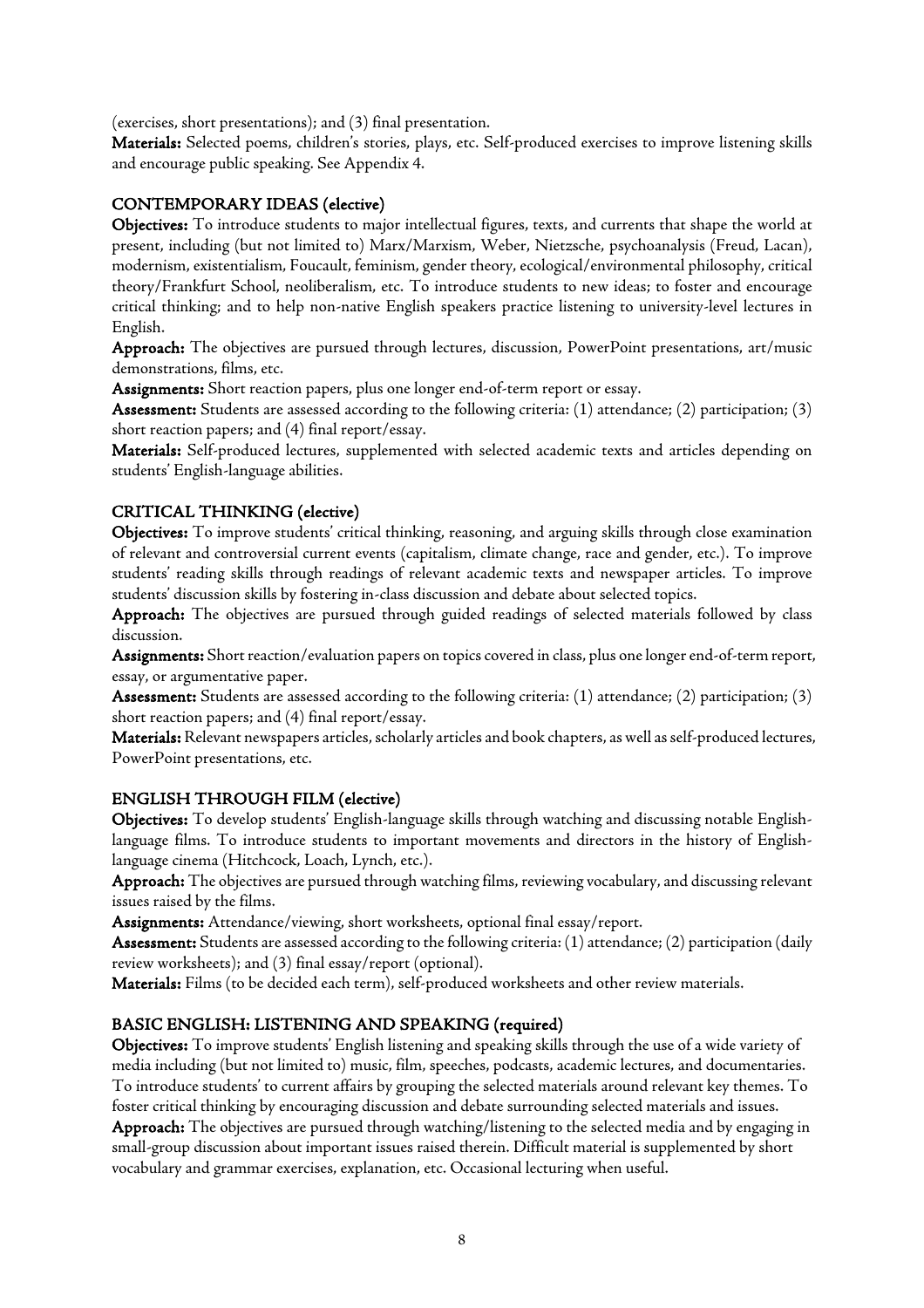(exercises, short presentations); and (3) final presentation.

Materials: Selected poems, children's stories, plays, etc. Self-produced exercises to improve listening skills and encourage public speaking. See Appendix 4.

# CONTEMPORARY IDEAS (elective)

Objectives: To introduce students to major intellectual figures, texts, and currents that shape the world at present, including (but not limited to) Marx/Marxism, Weber, Nietzsche, psychoanalysis (Freud, Lacan), modernism, existentialism, Foucault, feminism, gender theory, ecological/environmental philosophy, critical theory/Frankfurt School, neoliberalism, etc. To introduce students to new ideas; to foster and encourage critical thinking; and to help non-native English speakers practice listening to university-level lectures in English.

Approach: The objectives are pursued through lectures, discussion, PowerPoint presentations, art/music demonstrations, films, etc.

Assignments: Short reaction papers, plus one longer end-of-term report or essay.

Assessment: Students are assessed according to the following criteria: (1) attendance; (2) participation; (3) short reaction papers; and (4) final report/essay.

Materials: Self-produced lectures, supplemented with selected academic texts and articles depending on students' English-language abilities.

# CRITICAL THINKING (elective)

Objectives: To improve students' critical thinking, reasoning, and arguing skills through close examination of relevant and controversial current events (capitalism, climate change, race and gender, etc.). To improve students' reading skills through readings of relevant academic texts and newspaper articles. To improve students' discussion skills by fostering in-class discussion and debate about selected topics.

Approach: The objectives are pursued through guided readings of selected materials followed by class discussion.

Assignments: Short reaction/evaluation papers on topics covered in class, plus one longer end-of-term report, essay, or argumentative paper.

Assessment: Students are assessed according to the following criteria: (1) attendance; (2) participation; (3) short reaction papers; and (4) final report/essay.

Materials: Relevant newspapers articles, scholarly articles and book chapters, as well as self-produced lectures, PowerPoint presentations, etc.

# ENGLISH THROUGH FILM (elective)

Objectives: To develop students' English-language skills through watching and discussing notable Englishlanguage films. To introduce students to important movements and directors in the history of Englishlanguage cinema (Hitchcock, Loach, Lynch, etc.).

Approach: The objectives are pursued through watching films, reviewing vocabulary, and discussing relevant issues raised by the films.

Assignments: Attendance/viewing, short worksheets, optional final essay/report.

Assessment: Students are assessed according to the following criteria: (1) attendance; (2) participation (daily review worksheets); and (3) final essay/report (optional).

Materials: Films (to be decided each term), self-produced worksheets and other review materials.

# BASIC ENGLISH: LISTENING AND SPEAKING (required)

Objectives: To improve students' English listening and speaking skills through the use of a wide variety of media including (but not limited to) music, film, speeches, podcasts, academic lectures, and documentaries. To introduce students' to current affairs by grouping the selected materials around relevant key themes. To foster critical thinking by encouraging discussion and debate surrounding selected materials and issues. Approach: The objectives are pursued through watching/listening to the selected media and by engaging in small-group discussion about important issues raised therein. Difficult material is supplemented by short vocabulary and grammar exercises, explanation, etc. Occasional lecturing when useful.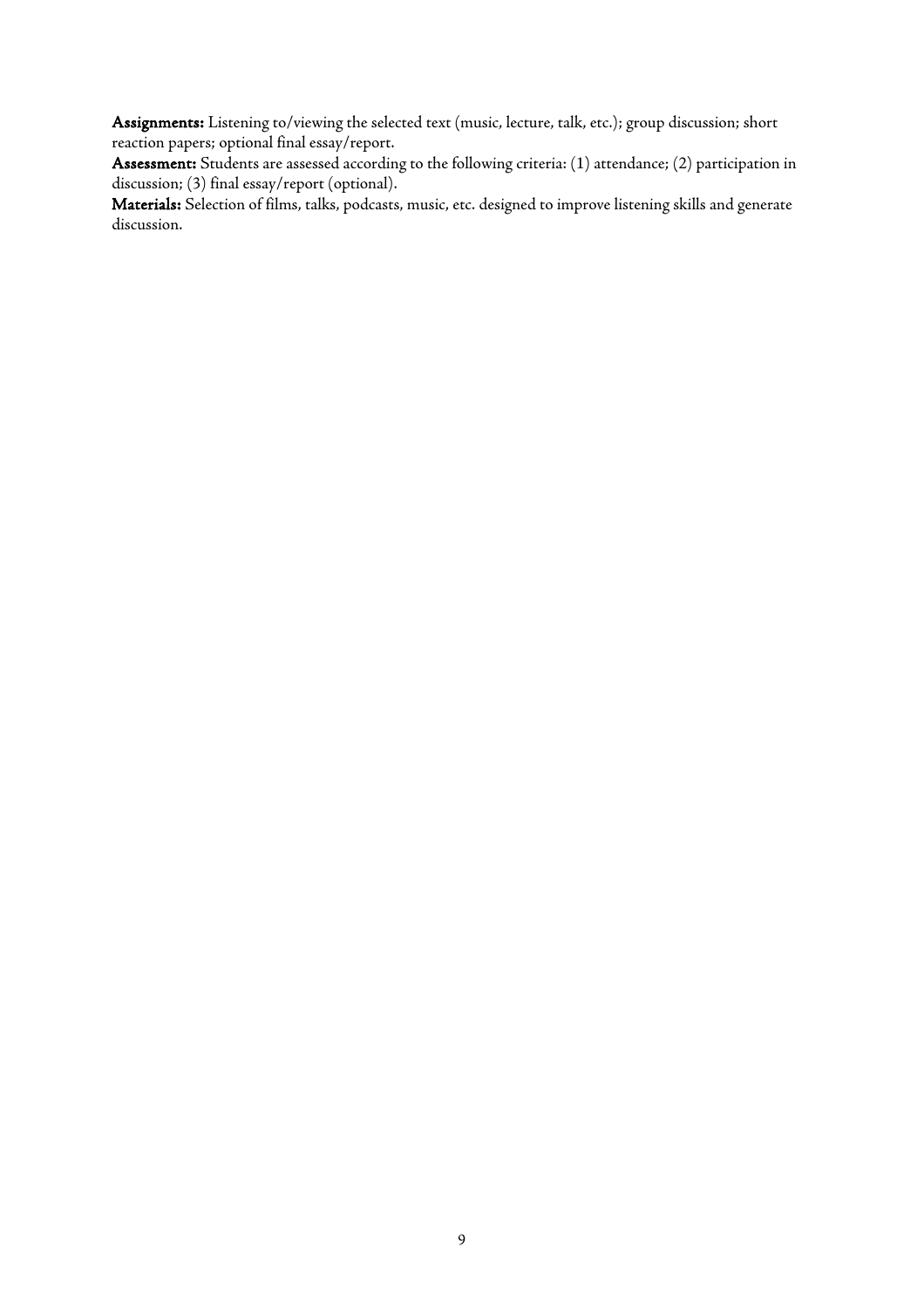Assignments: Listening to/viewing the selected text (music, lecture, talk, etc.); group discussion; short reaction papers; optional final essay/report.

Assessment: Students are assessed according to the following criteria: (1) attendance; (2) participation in discussion; (3) final essay/report (optional).

Materials: Selection of films, talks, podcasts, music, etc. designed to improve listening skills and generate discussion.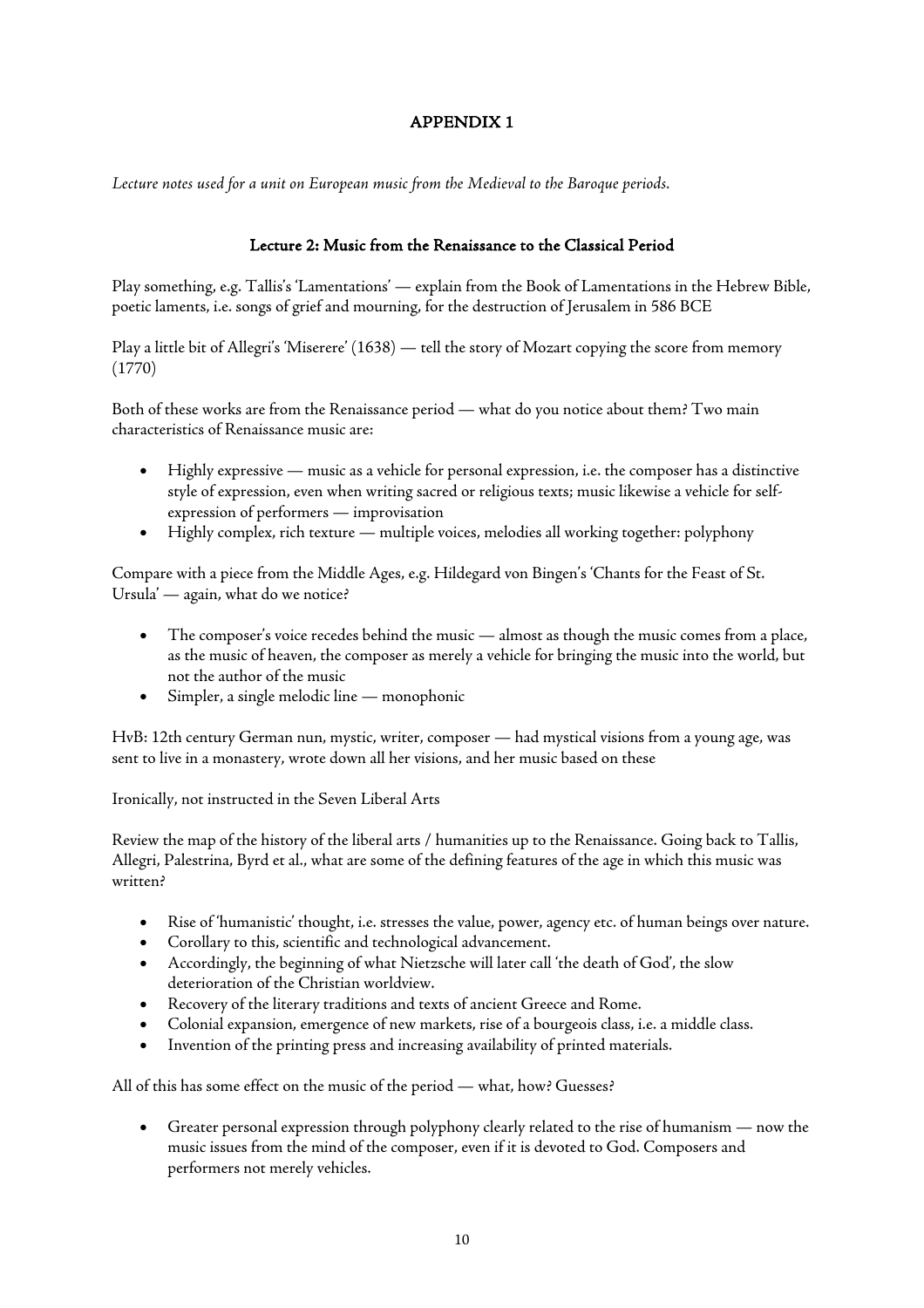# APPENDIX 1

*Lecture notes used for a unit on European music from the Medieval to the Baroque periods.*

# Lecture 2: Music from the Renaissance to the Classical Period

Play something, e.g. Tallis's 'Lamentations' — explain from the Book of Lamentations in the Hebrew Bible, poetic laments, i.e. songs of grief and mourning, for the destruction of Jerusalem in 586 BCE

Play a little bit of Allegri's 'Miserere' (1638) — tell the story of Mozart copying the score from memory (1770)

Both of these works are from the Renaissance period — what do you notice about them? Two main characteristics of Renaissance music are:

- Highly expressive music as a vehicle for personal expression, i.e. the composer has a distinctive style of expression, even when writing sacred or religious texts; music likewise a vehicle for selfexpression of performers — improvisation
- Highly complex, rich texture multiple voices, melodies all working together: polyphony

Compare with a piece from the Middle Ages, e.g. Hildegard von Bingen's 'Chants for the Feast of St. Ursula' — again, what do we notice?

- The composer's voice recedes behind the music almost as though the music comes from a place, as the music of heaven, the composer as merely a vehicle for bringing the music into the world, but not the author of the music
- Simpler, a single melodic line monophonic

HvB: 12th century German nun, mystic, writer, composer — had mystical visions from a young age, was sent to live in a monastery, wrote down all her visions, and her music based on these

Ironically, not instructed in the Seven Liberal Arts

Review the map of the history of the liberal arts / humanities up to the Renaissance. Going back to Tallis, Allegri, Palestrina, Byrd et al., what are some of the defining features of the age in which this music was written?

- Rise of 'humanistic' thought, i.e. stresses the value, power, agency etc. of human beings over nature.
- Corollary to this, scientific and technological advancement.
- Accordingly, the beginning of what Nietzsche will later call 'the death of God', the slow deterioration of the Christian worldview.
- Recovery of the literary traditions and texts of ancient Greece and Rome.
- Colonial expansion, emergence of new markets, rise of a bourgeois class, i.e. a middle class.
- Invention of the printing press and increasing availability of printed materials.

All of this has some effect on the music of the period — what, how? Guesses?

• Greater personal expression through polyphony clearly related to the rise of humanism — now the music issues from the mind of the composer, even if it is devoted to God. Composers and performers not merely vehicles.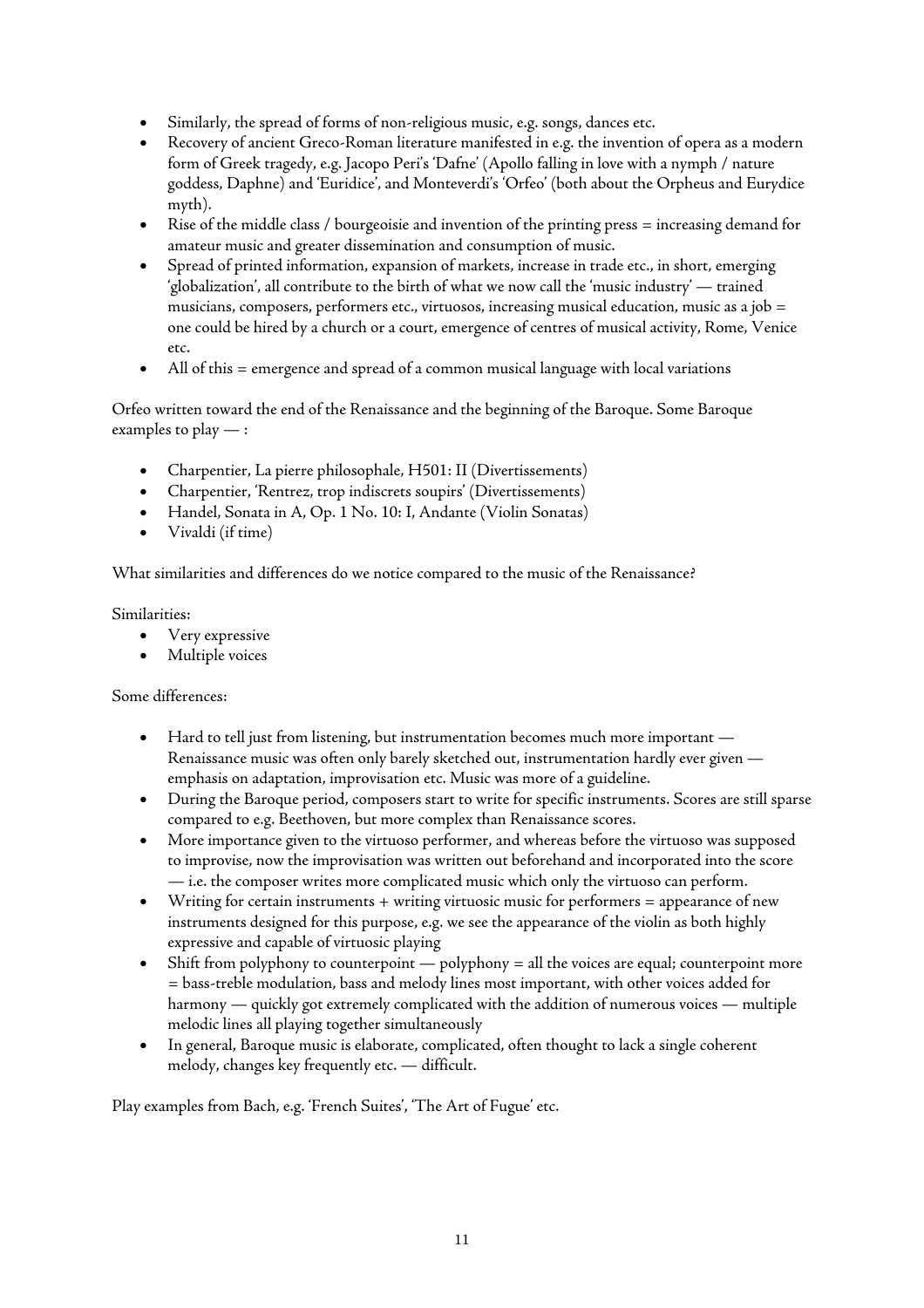- Similarly, the spread of forms of non-religious music, e.g. songs, dances etc.
- Recovery of ancient Greco-Roman literature manifested in e.g. the invention of opera as a modern form of Greek tragedy, e.g. Jacopo Peri's 'Dafne' (Apollo falling in love with a nymph / nature goddess, Daphne) and 'Euridice', and Monteverdi's 'Orfeo' (both about the Orpheus and Eurydice myth).
- Rise of the middle class / bourgeoisie and invention of the printing press = increasing demand for amateur music and greater dissemination and consumption of music.
- Spread of printed information, expansion of markets, increase in trade etc., in short, emerging 'globalization', all contribute to the birth of what we now call the 'music industry' — trained musicians, composers, performers etc., virtuosos, increasing musical education, music as a job = one could be hired by a church or a court, emergence of centres of musical activity, Rome, Venice etc.
- All of this = emergence and spread of a common musical language with local variations

Orfeo written toward the end of the Renaissance and the beginning of the Baroque. Some Baroque examples to play  $-$ :

- Charpentier, La pierre philosophale, H501: II (Divertissements)
- Charpentier, 'Rentrez, trop indiscrets soupirs' (Divertissements)
- Handel, Sonata in A, Op. 1 No. 10: I, Andante (Violin Sonatas)
- Vivaldi (if time)

What similarities and differences do we notice compared to the music of the Renaissance?

Similarities:

- Very expressive
- Multiple voices

Some differences:

- Hard to tell just from listening, but instrumentation becomes much more important Renaissance music was often only barely sketched out, instrumentation hardly ever given emphasis on adaptation, improvisation etc. Music was more of a guideline.
- During the Baroque period, composers start to write for specific instruments. Scores are still sparse compared to e.g. Beethoven, but more complex than Renaissance scores.
- More importance given to the virtuoso performer, and whereas before the virtuoso was supposed to improvise, now the improvisation was written out beforehand and incorporated into the score — i.e. the composer writes more complicated music which only the virtuoso can perform.
- Writing for certain instruments + writing virtuosic music for performers = appearance of new instruments designed for this purpose, e.g. we see the appearance of the violin as both highly expressive and capable of virtuosic playing
- $\bullet$  Shift from polyphony to counterpoint polyphony = all the voices are equal; counterpoint more = bass-treble modulation, bass and melody lines most important, with other voices added for harmony — quickly got extremely complicated with the addition of numerous voices — multiple melodic lines all playing together simultaneously
- In general, Baroque music is elaborate, complicated, often thought to lack a single coherent melody, changes key frequently etc. — difficult.

Play examples from Bach, e.g. 'French Suites', 'The Art of Fugue' etc.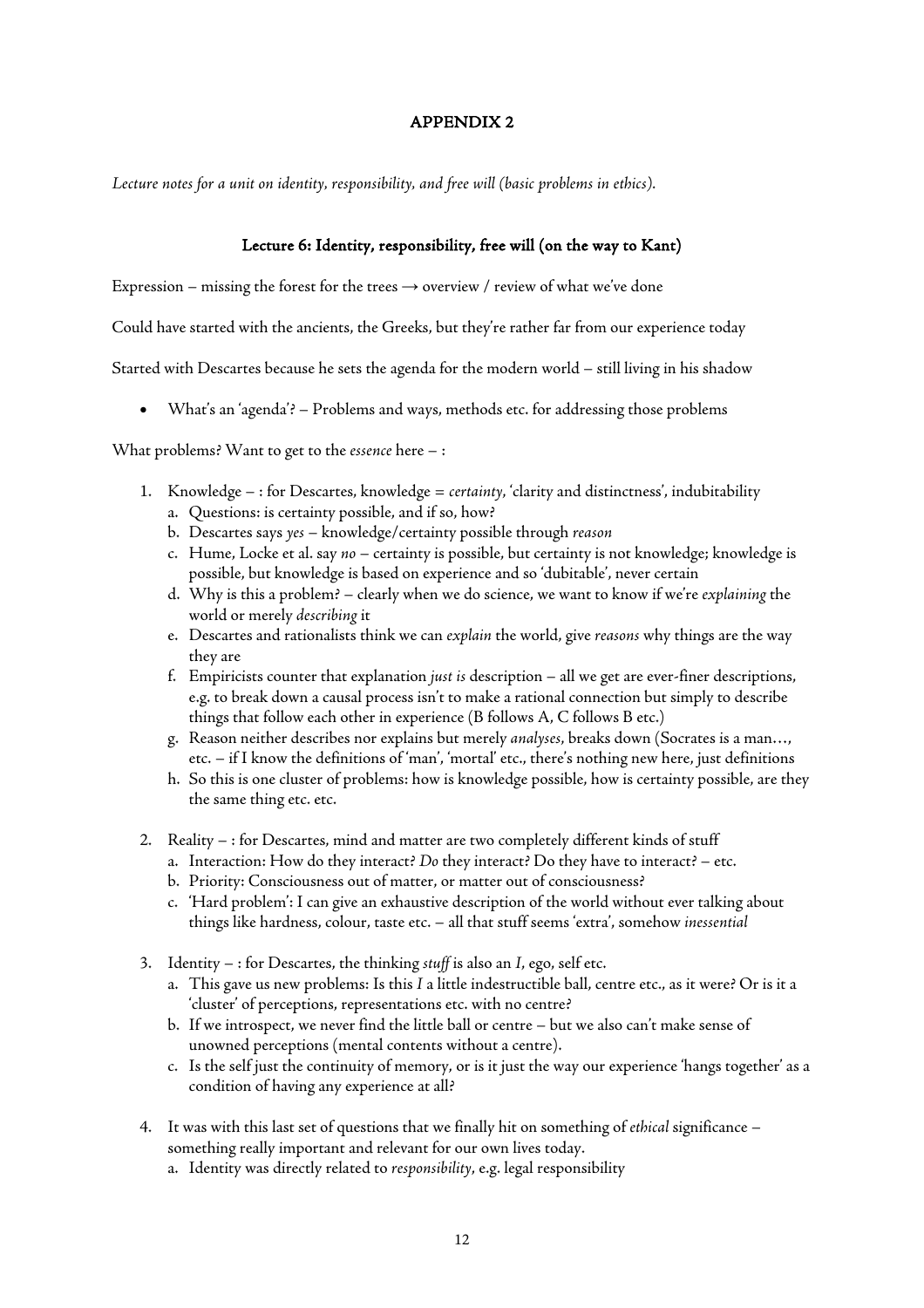### APPENDIX 2

Lecture notes for a unit on identity, responsibility, and free will *(basic problems in ethics)*.

# Lecture 6: Identity, responsibility, free will (on the way to Kant)

Expression – missing the forest for the trees  $\rightarrow$  overview / review of what we've done

Could have started with the ancients, the Greeks, but they're rather far from our experience today

Started with Descartes because he sets the agenda for the modern world – still living in his shadow

• What's an 'agenda'? – Problems and ways, methods etc. for addressing those problems

What problems? Want to get to the *essence* here – :

- 1. Knowledge : for Descartes, knowledge = *certainty*, 'clarity and distinctness', indubitability a. Questions: is certainty possible, and if so, how?
	- b. Descartes says *yes* knowledge/certainty possible through *reason*
	- c. Hume, Locke et al. say *no* certainty is possible, but certainty is not knowledge; knowledge is possible, but knowledge is based on experience and so 'dubitable', never certain
	- d. Why is this a problem? clearly when we do science, we want to know if we're *explaining* the world or merely *describing* it
	- e. Descartes and rationalists think we can *explain* the world, give *reasons* why things are the way they are
	- f. Empiricists counter that explanation *just is* description all we get are ever-finer descriptions, e.g. to break down a causal process isn't to make a rational connection but simply to describe things that follow each other in experience (B follows A, C follows B etc.)
	- g. Reason neither describes nor explains but merely *analyses*, breaks down (Socrates is a man…, etc. – if I know the definitions of 'man', 'mortal' etc., there's nothing new here, just definitions
	- h. So this is one cluster of problems: how is knowledge possible, how is certainty possible, are they the same thing etc. etc.
- 2. Reality : for Descartes, mind and matter are two completely different kinds of stuff
	- a. Interaction: How do they interact? *Do* they interact? Do they have to interact? etc.
	- b. Priority: Consciousness out of matter, or matter out of consciousness?
	- c. 'Hard problem': I can give an exhaustive description of the world without ever talking about things like hardness, colour, taste etc. – all that stuff seems 'extra', somehow *inessential*
- 3. Identity : for Descartes, the thinking *stuff* is also an *I*, ego, self etc.
	- a. This gave us new problems: Is this *I* a little indestructible ball, centre etc., as it were? Or is it a 'cluster' of perceptions, representations etc. with no centre?
	- b. If we introspect, we never find the little ball or centre but we also can't make sense of unowned perceptions (mental contents without a centre).
	- c. Is the self just the continuity of memory, or is it just the way our experience 'hangs together' as a condition of having any experience at all?
- 4. It was with this last set of questions that we finally hit on something of *ethical* significance something really important and relevant for our own lives today.
	- a. Identity was directly related to *responsibility*, e.g. legal responsibility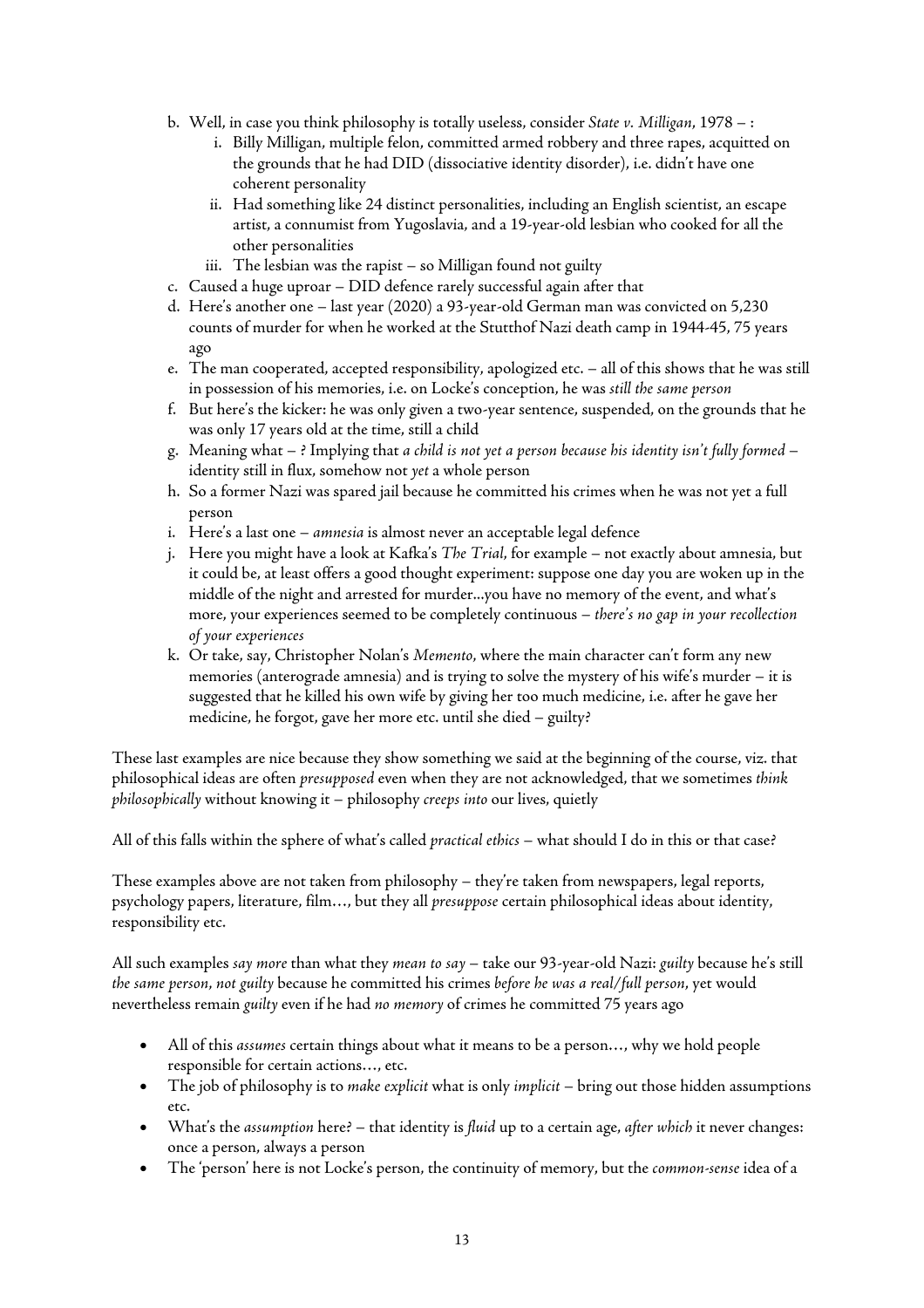- b. Well, in case you think philosophy is totally useless, consider *State v. Milligan*, 1978 :
	- i. Billy Milligan, multiple felon, committed armed robbery and three rapes, acquitted on the grounds that he had DID (dissociative identity disorder), i.e. didn't have one coherent personality
	- ii. Had something like 24 distinct personalities, including an English scientist, an escape artist, a connumist from Yugoslavia, and a 19-year-old lesbian who cooked for all the other personalities
	- iii. The lesbian was the rapist so Milligan found not guilty
- c. Caused a huge uproar DID defence rarely successful again after that
- d. Here's another one last year (2020) a 93-year-old German man was convicted on 5,230 counts of murder for when he worked at the Stutthof Nazi death camp in 1944-45, 75 years ago
- e. The man cooperated, accepted responsibility, apologized etc. all of this shows that he was still in possession of his memories, i.e. on Locke's conception, he was *still the same person*
- f. But here's the kicker: he was only given a two-year sentence, suspended, on the grounds that he was only 17 years old at the time, still a child
- g. Meaning what ? Implying that *a child is not yet a person because his identity isn't fully formed* identity still in flux, somehow not *yet* a whole person
- h. So a former Nazi was spared jail because he committed his crimes when he was not yet a full person
- i. Here's a last one *amnesia* is almost never an acceptable legal defence
- j. Here you might have a look at Kafka's *The Trial*, for example not exactly about amnesia, but it could be, at least offers a good thought experiment: suppose one day you are woken up in the middle of the night and arrested for murder...you have no memory of the event, and what's more, your experiences seemed to be completely continuous – *there's no gap in your recollection of your experiences*
- k. Or take, say, Christopher Nolan's *Memento*, where the main character can't form any new memories (anterograde amnesia) and is trying to solve the mystery of his wife's murder – it is suggested that he killed his own wife by giving her too much medicine, i.e. after he gave her medicine, he forgot, gave her more etc. until she died – guilty?

These last examples are nice because they show something we said at the beginning of the course, viz. that philosophical ideas are often *presupposed* even when they are not acknowledged, that we sometimes *think philosophically* without knowing it – philosophy *creeps into* our lives, quietly

All of this falls within the sphere of what's called *practical ethics* – what should I do in this or that case?

These examples above are not taken from philosophy – they're taken from newspapers, legal reports, psychology papers, literature, film…, but they all *presuppose* certain philosophical ideas about identity, responsibility etc.

All such examples *say more* than what they *mean to say* – take our 93-year-old Nazi: *guilty* because he's still *the same person*, *not guilty* because he committed his crimes *before he was a real/full person*, yet would nevertheless remain *guilty* even if he had *no memory* of crimes he committed 75 years ago

- All of this *assumes* certain things about what it means to be a person…, why we hold people responsible for certain actions…, etc.
- The job of philosophy is to *make explicit* what is only *implicit* bring out those hidden assumptions etc.
- What's the *assumption* here? that identity is *fluid* up to a certain age, *after which* it never changes: once a person, always a person
- The 'person' here is not Locke's person, the continuity of memory, but the *common-sense* idea of a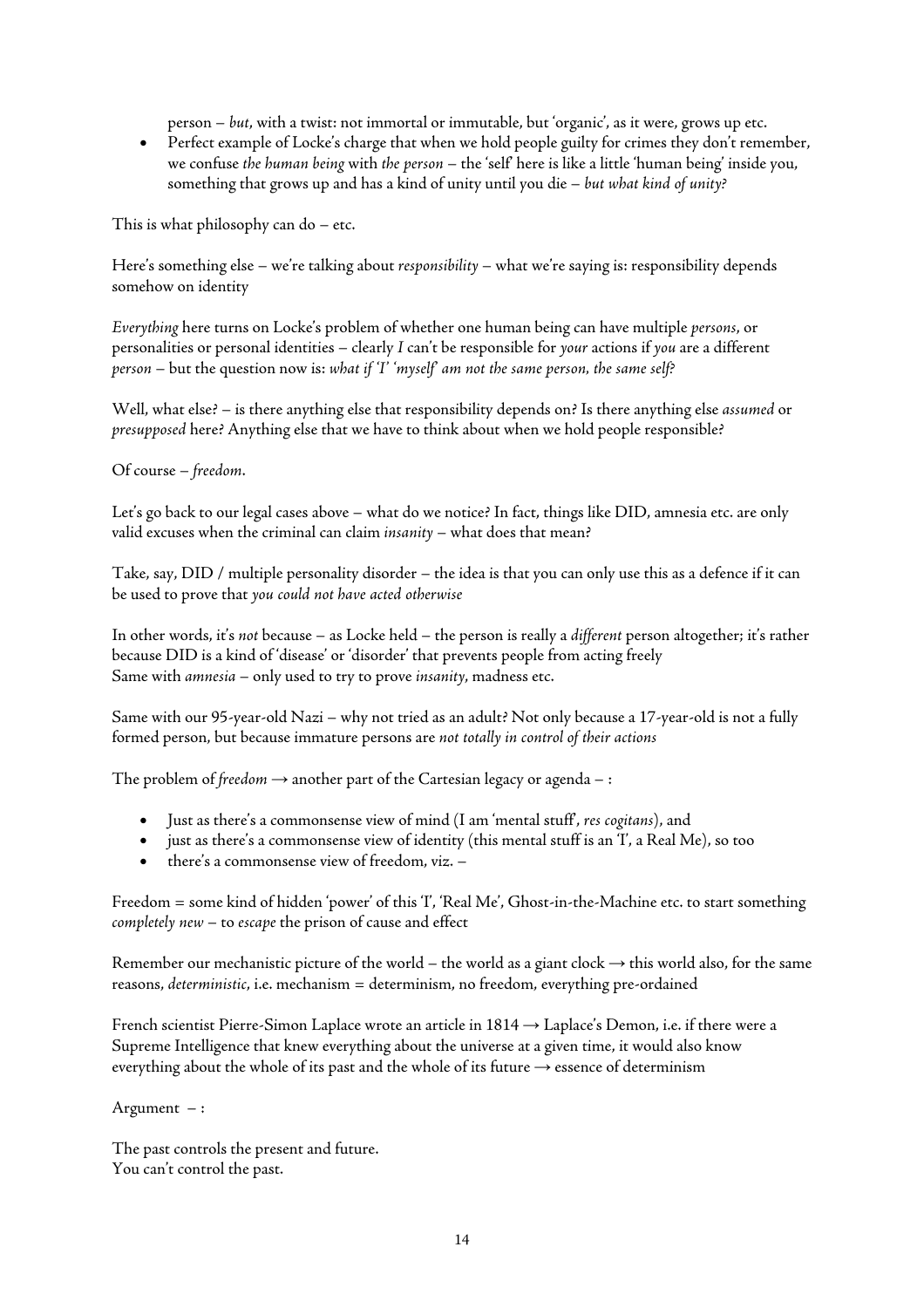person – *but*, with a twist: not immortal or immutable, but 'organic', as it were, grows up etc.

• Perfect example of Locke's charge that when we hold people guilty for crimes they don't remember, we confuse *the human being* with *the person* – the 'self' here is like a little 'human being' inside you, something that grows up and has a kind of unity until you die – *but what kind of unity?*

This is what philosophy can do – etc.

Here's something else – we're talking about *responsibility* – what we're saying is: responsibility depends somehow on identity

*Everything* here turns on Locke's problem of whether one human being can have multiple *persons*, or personalities or personal identities – clearly *I* can't be responsible for *your* actions if *you* are a different *person* – but the question now is: *what if 'I' 'myself' am not the same person, the same self?*

Well, what else? – is there anything else that responsibility depends on? Is there anything else *assumed* or *presupposed* here? Anything else that we have to think about when we hold people responsible?

Of course – *freedom*.

Let's go back to our legal cases above – what do we notice? In fact, things like DID, amnesia etc. are only valid excuses when the criminal can claim *insanity* – what does that mean?

Take, say, DID / multiple personality disorder – the idea is that you can only use this as a defence if it can be used to prove that *you could not have acted otherwise*

In other words, it's *not* because – as Locke held – the person is really a *different* person altogether; it's rather because DID is a kind of 'disease' or 'disorder' that prevents people from acting freely Same with *amnesia* – only used to try to prove *insanity*, madness etc.

Same with our 95-year-old Nazi – why not tried as an adult? Not only because a 17-year-old is not a fully formed person, but because immature persons are *not totally in control of their actions*

The problem of *freedom*  $\rightarrow$  another part of the Cartesian legacy or agenda – :

- Just as there's a commonsense view of mind (I am 'mental stuff', *res cogitans*), and
- just as there's a commonsense view of identity (this mental stuff is an 'I', a Real Me), so too
- there's a commonsense view of freedom, viz. –

Freedom = some kind of hidden 'power' of this 'I', 'Real Me', Ghost-in-the-Machine etc. to start something *completely new* – to *escape* the prison of cause and effect

Remember our mechanistic picture of the world – the world as a giant clock  $\rightarrow$  this world also, for the same reasons, *deterministic*, i.e. mechanism = determinism, no freedom, everything pre-ordained

French scientist Pierre-Simon Laplace wrote an article in 1814 → Laplace's Demon, i.e. if there were a Supreme Intelligence that knew everything about the universe at a given time, it would also know everything about the whole of its past and the whole of its future  $\rightarrow$  essence of determinism

Argument – :

The past controls the present and future. You can't control the past.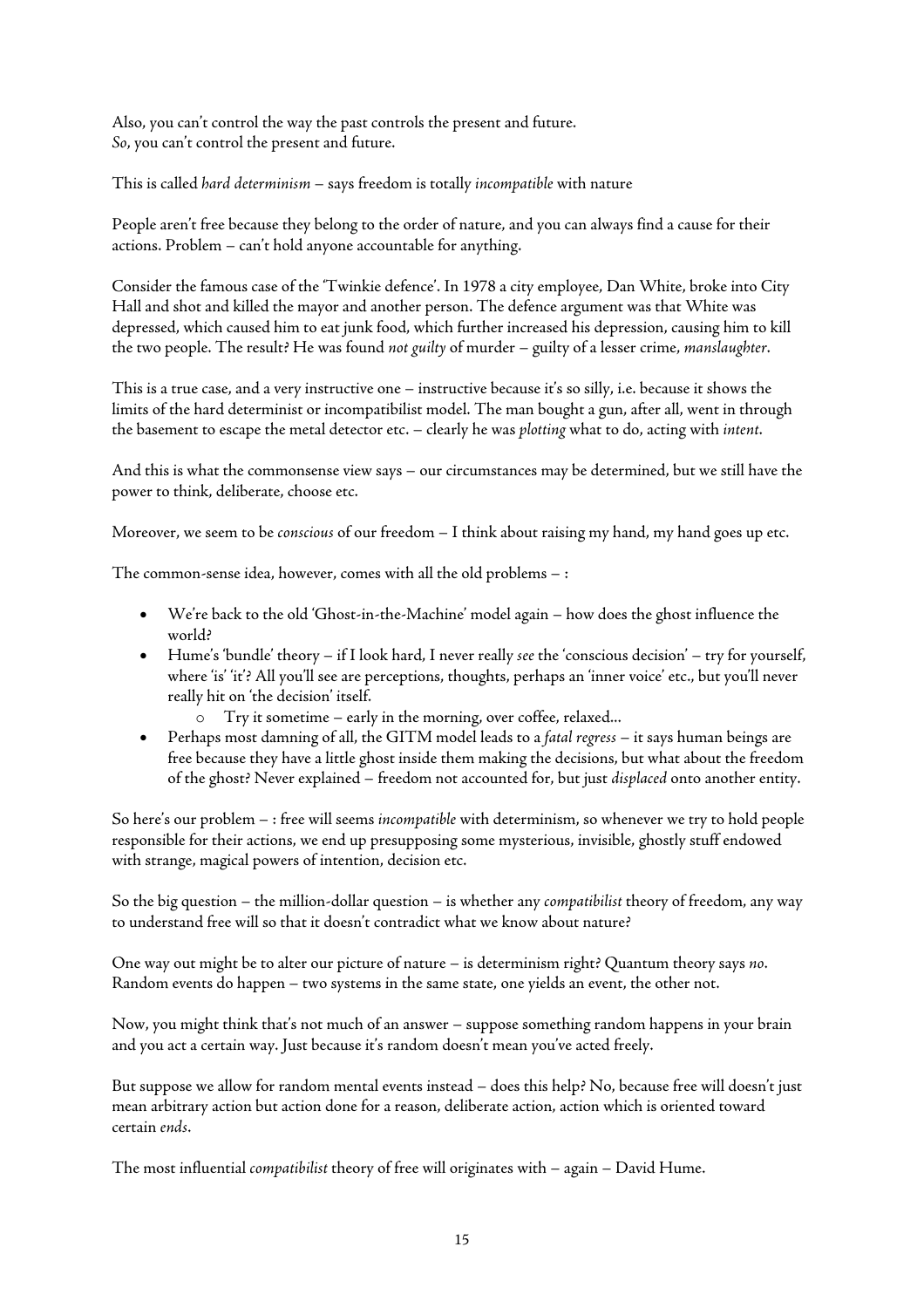Also, you can't control the way the past controls the present and future. *So*, you can't control the present and future.

This is called *hard determinism* – says freedom is totally *incompatible* with nature

People aren't free because they belong to the order of nature, and you can always find a cause for their actions. Problem – can't hold anyone accountable for anything.

Consider the famous case of the 'Twinkie defence'. In 1978 a city employee, Dan White, broke into City Hall and shot and killed the mayor and another person. The defence argument was that White was depressed, which caused him to eat junk food, which further increased his depression, causing him to kill the two people. The result? He was found *not guilty* of murder – guilty of a lesser crime, *manslaughter*.

This is a true case, and a very instructive one – instructive because it's so silly, i.e. because it shows the limits of the hard determinist or incompatibilist model. The man bought a gun, after all, went in through the basement to escape the metal detector etc. – clearly he was *plotting* what to do, acting with *intent*.

And this is what the commonsense view says – our circumstances may be determined, but we still have the power to think, deliberate, choose etc.

Moreover, we seem to be *conscious* of our freedom – I think about raising my hand, my hand goes up etc.

The common-sense idea, however, comes with all the old problems – :

- We're back to the old 'Ghost-in-the-Machine' model again how does the ghost influence the world?
- Hume's 'bundle' theory if I look hard, I never really *see* the 'conscious decision' try for yourself, where 'is' 'it'? All you'll see are perceptions, thoughts, perhaps an 'inner voice' etc., but you'll never really hit on 'the decision' itself.
	- o Try it sometime early in the morning, over coffee, relaxed...
- Perhaps most damning of all, the GITM model leads to a *fatal regress* it says human beings are free because they have a little ghost inside them making the decisions, but what about the freedom of the ghost? Never explained – freedom not accounted for, but just *displaced* onto another entity.

So here's our problem – : free will seems *incompatible* with determinism, so whenever we try to hold people responsible for their actions, we end up presupposing some mysterious, invisible, ghostly stuff endowed with strange, magical powers of intention, decision etc.

So the big question – the million-dollar question – is whether any *compatibilist* theory of freedom, any way to understand free will so that it doesn't contradict what we know about nature?

One way out might be to alter our picture of nature – is determinism right? Quantum theory says *no*. Random events do happen – two systems in the same state, one yields an event, the other not.

Now, you might think that's not much of an answer – suppose something random happens in your brain and you act a certain way. Just because it's random doesn't mean you've acted freely.

But suppose we allow for random mental events instead – does this help? No, because free will doesn't just mean arbitrary action but action done for a reason, deliberate action, action which is oriented toward certain *ends*.

The most influential *compatibilist* theory of free will originates with – again – David Hume.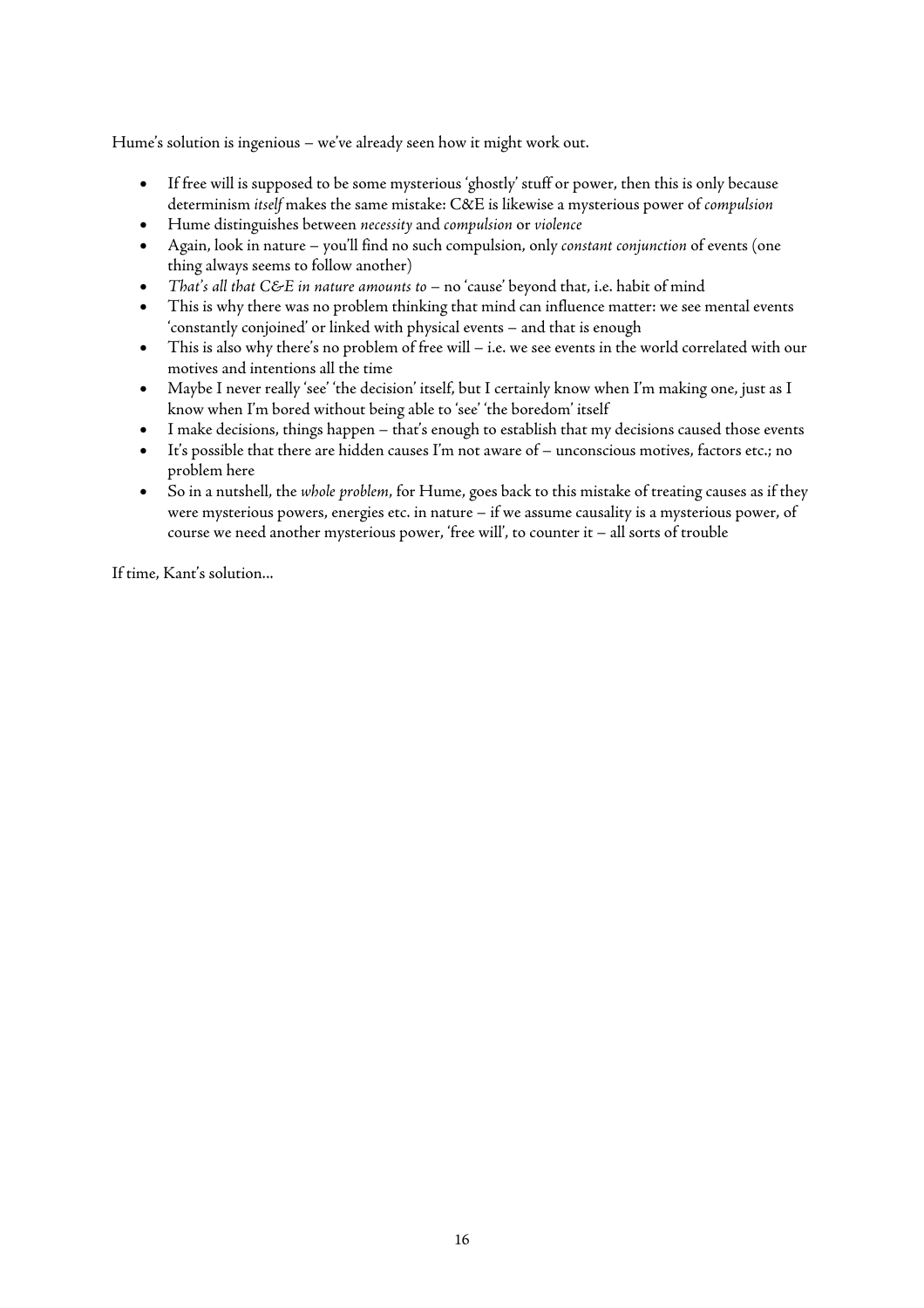Hume's solution is ingenious – we've already seen how it might work out.

- If free will is supposed to be some mysterious 'ghostly' stuff or power, then this is only because determinism *itself* makes the same mistake: C&E is likewise a mysterious power of *compulsion*
- Hume distinguishes between *necessity* and *compulsion* or *violence*
- Again, look in nature you'll find no such compulsion, only *constant conjunction* of events (one thing always seems to follow another)
- *That's all that C&E in nature amounts to* no 'cause' beyond that, i.e. habit of mind
- This is why there was no problem thinking that mind can influence matter: we see mental events 'constantly conjoined' or linked with physical events – and that is enough
- This is also why there's no problem of free will i.e. we see events in the world correlated with our motives and intentions all the time
- Maybe I never really 'see' 'the decision' itself, but I certainly know when I'm making one, just as I know when I'm bored without being able to 'see' 'the boredom' itself
- I make decisions, things happen that's enough to establish that my decisions caused those events
- It's possible that there are hidden causes I'm not aware of unconscious motives, factors etc.; no problem here
- So in a nutshell, the *whole problem*, for Hume, goes back to this mistake of treating causes as if they were mysterious powers, energies etc. in nature – if we assume causality is a mysterious power, of course we need another mysterious power, 'free will', to counter it – all sorts of trouble

If time, Kant's solution...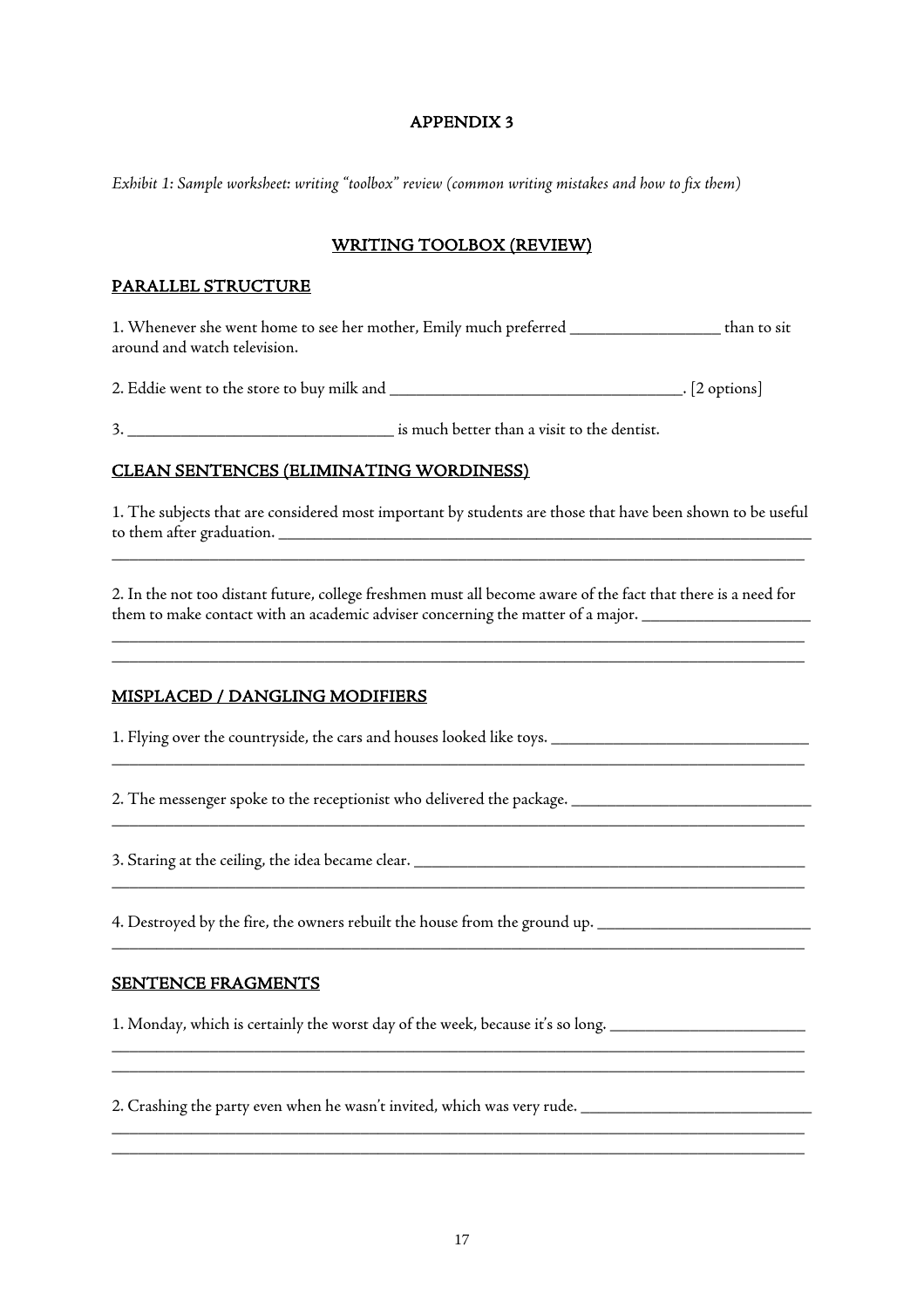# APPENDIX 3

*Exhibit 1: Sample worksheet: writing "toolbox" review (common writing mistakes and how to fix them)*

# WRITING TOOLBOX (REVIEW)

#### PARALLEL STRUCTURE

1. Whenever she went home to see her mother, Emily much preferred \_\_\_\_\_\_\_\_\_\_\_\_\_\_\_\_\_ than to sit around and watch television.

2. Eddie went to the store to buy milk and \_\_\_\_\_\_\_\_\_\_\_\_\_\_\_\_\_\_\_\_\_\_\_\_\_\_\_\_\_\_\_\_\_. [2 options]

3. \_\_\_\_\_\_\_\_\_\_\_\_\_\_\_\_\_\_\_\_\_\_\_\_\_\_\_\_\_\_ is much better than a visit to the dentist.

#### CLEAN SENTENCES (ELIMINATING WORDINESS)

1. The subjects that are considered most important by students are those that have been shown to be useful to them after graduation. \_\_\_\_\_\_\_\_\_\_\_\_\_\_\_\_\_\_\_\_\_\_\_\_\_\_\_\_\_\_\_\_\_\_\_\_\_\_\_\_\_\_\_\_\_\_\_\_\_\_\_\_\_\_\_\_\_\_\_\_

\_\_\_\_\_\_\_\_\_\_\_\_\_\_\_\_\_\_\_\_\_\_\_\_\_\_\_\_\_\_\_\_\_\_\_\_\_\_\_\_\_\_\_\_\_\_\_\_\_\_\_\_\_\_\_\_\_\_\_\_\_\_\_\_\_\_\_\_\_\_\_\_\_\_\_\_\_\_

2. In the not too distant future, college freshmen must all become aware of the fact that there is a need for them to make contact with an academic adviser concerning the matter of a major.

\_\_\_\_\_\_\_\_\_\_\_\_\_\_\_\_\_\_\_\_\_\_\_\_\_\_\_\_\_\_\_\_\_\_\_\_\_\_\_\_\_\_\_\_\_\_\_\_\_\_\_\_\_\_\_\_\_\_\_\_\_\_\_\_\_\_\_\_\_\_\_\_\_\_\_\_\_\_ \_\_\_\_\_\_\_\_\_\_\_\_\_\_\_\_\_\_\_\_\_\_\_\_\_\_\_\_\_\_\_\_\_\_\_\_\_\_\_\_\_\_\_\_\_\_\_\_\_\_\_\_\_\_\_\_\_\_\_\_\_\_\_\_\_\_\_\_\_\_\_\_\_\_\_\_\_\_

\_\_\_\_\_\_\_\_\_\_\_\_\_\_\_\_\_\_\_\_\_\_\_\_\_\_\_\_\_\_\_\_\_\_\_\_\_\_\_\_\_\_\_\_\_\_\_\_\_\_\_\_\_\_\_\_\_\_\_\_\_\_\_\_\_\_\_\_\_\_\_\_\_\_\_\_\_\_

\_\_\_\_\_\_\_\_\_\_\_\_\_\_\_\_\_\_\_\_\_\_\_\_\_\_\_\_\_\_\_\_\_\_\_\_\_\_\_\_\_\_\_\_\_\_\_\_\_\_\_\_\_\_\_\_\_\_\_\_\_\_\_\_\_\_\_\_\_\_\_\_\_\_\_\_\_\_

\_\_\_\_\_\_\_\_\_\_\_\_\_\_\_\_\_\_\_\_\_\_\_\_\_\_\_\_\_\_\_\_\_\_\_\_\_\_\_\_\_\_\_\_\_\_\_\_\_\_\_\_\_\_\_\_\_\_\_\_\_\_\_\_\_\_\_\_\_\_\_\_\_\_\_\_\_\_

\_\_\_\_\_\_\_\_\_\_\_\_\_\_\_\_\_\_\_\_\_\_\_\_\_\_\_\_\_\_\_\_\_\_\_\_\_\_\_\_\_\_\_\_\_\_\_\_\_\_\_\_\_\_\_\_\_\_\_\_\_\_\_\_\_\_\_\_\_\_\_\_\_\_\_\_\_\_

\_\_\_\_\_\_\_\_\_\_\_\_\_\_\_\_\_\_\_\_\_\_\_\_\_\_\_\_\_\_\_\_\_\_\_\_\_\_\_\_\_\_\_\_\_\_\_\_\_\_\_\_\_\_\_\_\_\_\_\_\_\_\_\_\_\_\_\_\_\_\_\_\_\_\_\_\_\_ \_\_\_\_\_\_\_\_\_\_\_\_\_\_\_\_\_\_\_\_\_\_\_\_\_\_\_\_\_\_\_\_\_\_\_\_\_\_\_\_\_\_\_\_\_\_\_\_\_\_\_\_\_\_\_\_\_\_\_\_\_\_\_\_\_\_\_\_\_\_\_\_\_\_\_\_\_\_

\_\_\_\_\_\_\_\_\_\_\_\_\_\_\_\_\_\_\_\_\_\_\_\_\_\_\_\_\_\_\_\_\_\_\_\_\_\_\_\_\_\_\_\_\_\_\_\_\_\_\_\_\_\_\_\_\_\_\_\_\_\_\_\_\_\_\_\_\_\_\_\_\_\_\_\_\_\_ \_\_\_\_\_\_\_\_\_\_\_\_\_\_\_\_\_\_\_\_\_\_\_\_\_\_\_\_\_\_\_\_\_\_\_\_\_\_\_\_\_\_\_\_\_\_\_\_\_\_\_\_\_\_\_\_\_\_\_\_\_\_\_\_\_\_\_\_\_\_\_\_\_\_\_\_\_\_

#### MISPLACED / DANGLING MODIFIERS

1. Flying over the countryside, the cars and houses looked like toys. \_\_\_\_\_\_\_\_\_\_\_\_\_\_\_\_\_\_\_\_\_\_\_\_\_\_\_\_\_

2. The messenger spoke to the receptionist who delivered the package. \_\_\_\_\_\_\_\_\_\_\_\_\_\_\_\_\_\_\_\_\_\_\_\_\_\_\_

3. Staring at the ceiling, the idea became clear.

4. Destroyed by the fire, the owners rebuilt the house from the ground up. \_\_\_\_\_\_\_\_\_\_\_\_\_\_\_\_\_\_\_\_\_\_\_\_

#### SENTENCE FRAGMENTS

1. Monday, which is certainly the worst day of the week, because it's so long. \_\_\_\_\_\_\_\_\_\_\_\_\_\_\_\_\_\_\_\_

2. Crashing the party even when he wasn't invited, which was very rude. \_\_\_\_\_\_\_\_\_\_\_\_\_\_\_\_\_\_\_\_\_\_\_\_\_\_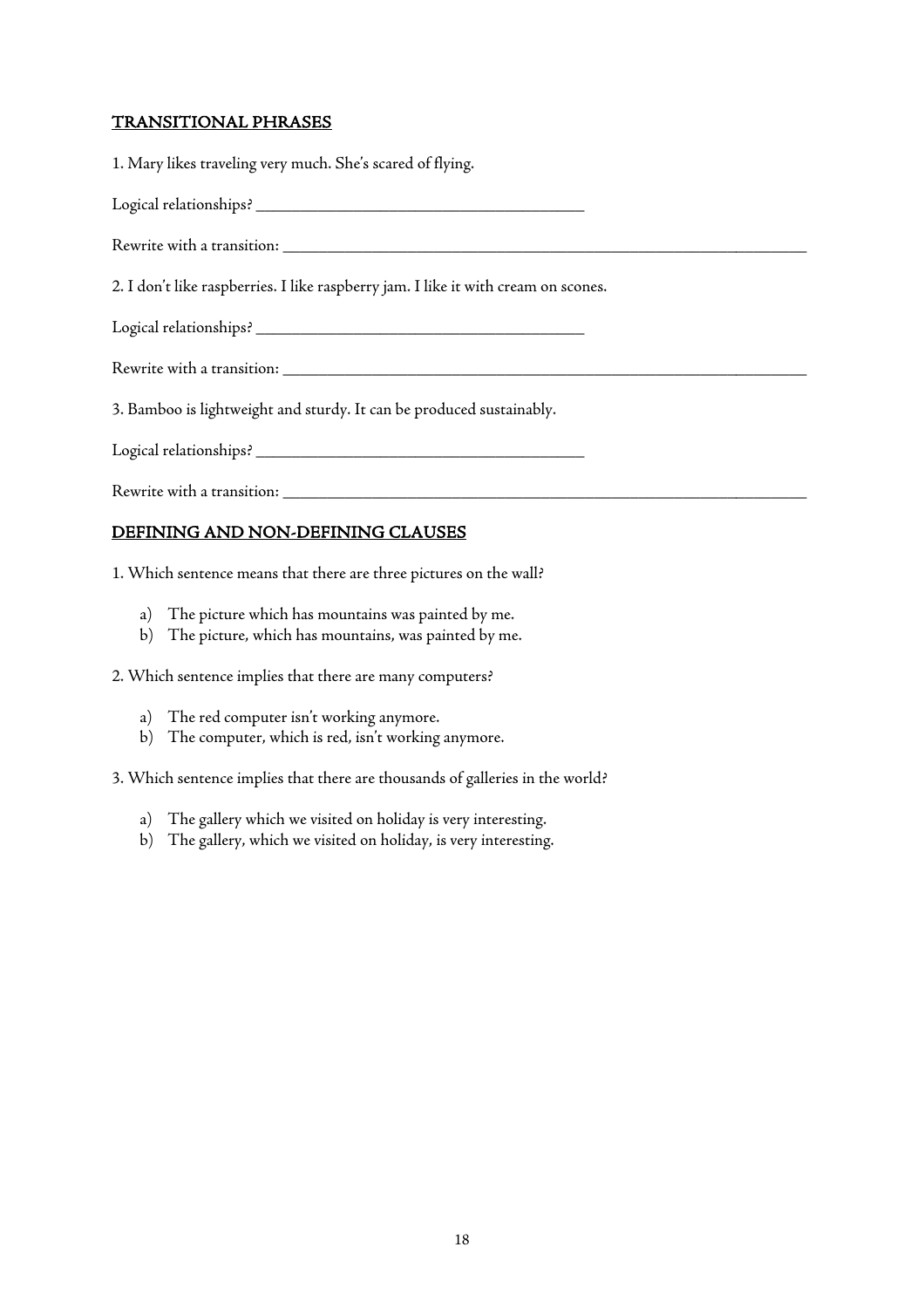# TRANSITIONAL PHRASES

1. Mary likes traveling very much. She's scared of flying. Logical relationships? \_\_\_\_\_\_\_\_\_\_\_\_\_\_\_\_\_\_\_\_\_\_\_\_\_\_\_\_\_\_\_\_\_\_\_\_\_ Rewrite with a transition: \_\_\_\_\_\_\_\_\_\_\_\_\_\_\_\_\_\_\_\_\_\_\_\_\_\_\_\_\_\_\_\_\_\_\_\_\_\_\_\_\_\_\_\_\_\_\_\_\_\_\_\_\_\_\_\_\_\_\_ 2. I don't like raspberries. I like raspberry jam. I like it with cream on scones. Logical relationships? \_\_\_\_\_\_\_\_\_\_\_\_\_\_\_\_\_\_\_\_\_\_\_\_\_\_\_\_\_\_\_\_\_\_\_\_\_ Rewrite with a transition: \_\_\_\_\_\_\_\_\_\_\_\_\_\_\_\_\_\_\_\_\_\_\_\_\_\_\_\_\_\_\_\_\_\_\_\_\_\_\_\_\_\_\_\_\_\_\_\_\_\_\_\_\_\_\_\_\_\_\_ 3. Bamboo is lightweight and sturdy. It can be produced sustainably. Logical relationships? \_\_\_\_\_\_\_\_\_\_\_\_\_\_\_\_\_\_\_\_\_\_\_\_\_\_\_\_\_\_\_\_\_\_\_\_\_ Rewrite with a transition: \_\_\_\_\_\_\_\_\_\_\_\_\_\_\_\_\_\_\_\_\_\_\_\_\_\_\_\_\_\_\_\_\_\_\_\_\_\_\_\_\_\_\_\_\_\_\_\_\_\_\_\_\_\_\_\_\_\_\_

# DEFINING AND NON-DEFINING CLAUSES

1. Which sentence means that there are three pictures on the wall?

- a) The picture which has mountains was painted by me.
- b) The picture, which has mountains, was painted by me.

2. Which sentence implies that there are many computers?

- a) The red computer isn't working anymore.
- b) The computer, which is red, isn't working anymore.

3. Which sentence implies that there are thousands of galleries in the world?

- a) The gallery which we visited on holiday is very interesting.
- b) The gallery, which we visited on holiday, is very interesting.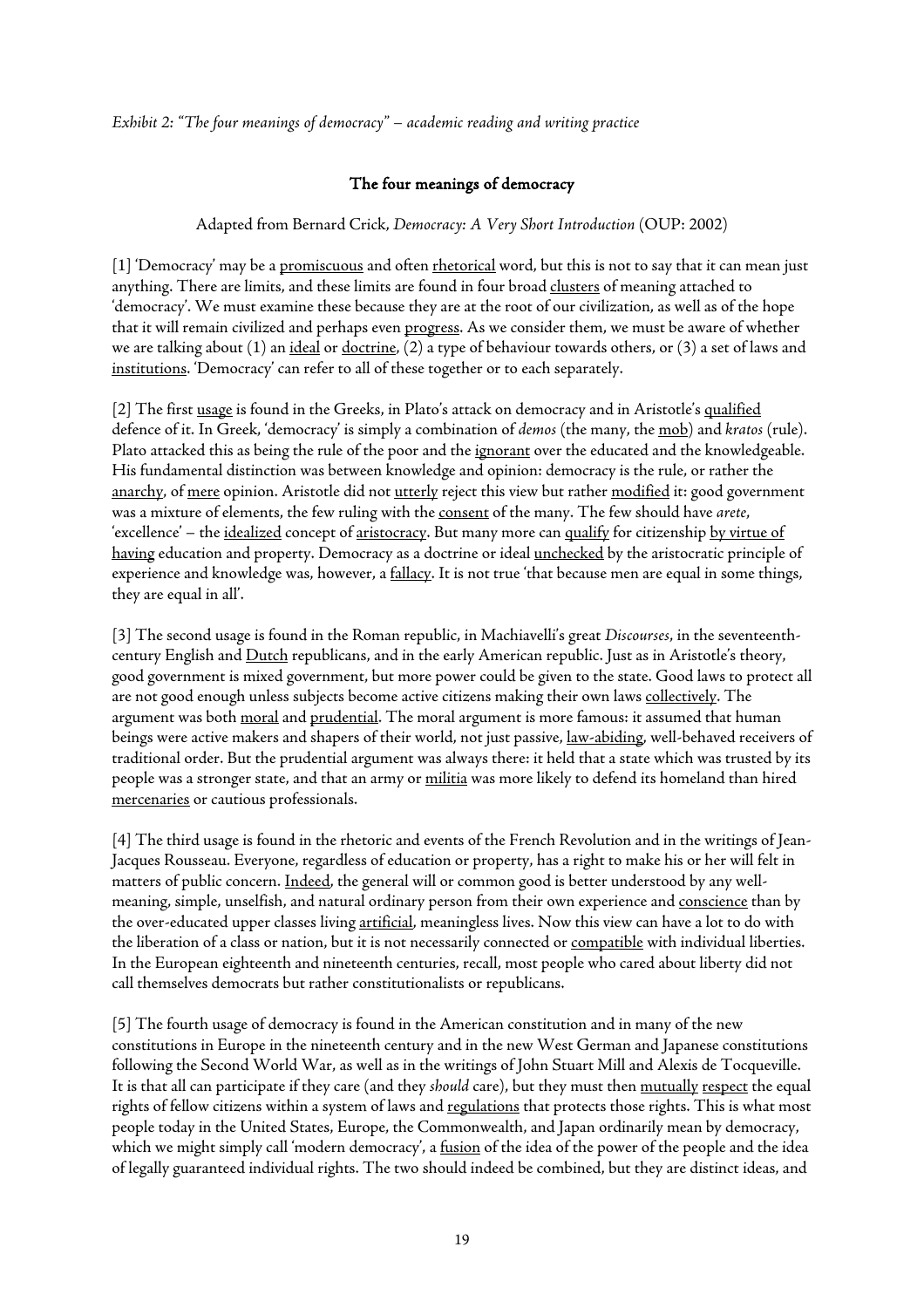#### *Exhibit 2: "The four meanings of democracy" – academic reading and writing practice*

#### The four meanings of democracy

#### Adapted from Bernard Crick, *Democracy: A Very Short Introduction* (OUP: 2002)

[1] 'Democracy' may be a promiscuous and often rhetorical word, but this is not to say that it can mean just anything. There are limits, and these limits are found in four broad clusters of meaning attached to 'democracy'. We must examine these because they are at the root of our civilization, as well as of the hope that it will remain civilized and perhaps even progress. As we consider them, we must be aware of whether we are talking about (1) an ideal or doctrine, (2) a type of behaviour towards others, or (3) a set of laws and institutions. 'Democracy' can refer to all of these together or to each separately.

[2] The first usage is found in the Greeks, in Plato's attack on democracy and in Aristotle's qualified defence of it. In Greek, 'democracy' is simply a combination of *demos* (the many, the mob) and *kratos* (rule). Plato attacked this as being the rule of the poor and the ignorant over the educated and the knowledgeable. His fundamental distinction was between knowledge and opinion: democracy is the rule, or rather the anarchy, of mere opinion. Aristotle did not utterly reject this view but rather modified it: good government was a mixture of elements, the few ruling with the consent of the many. The few should have *arete*, 'excellence' – the idealized concept of aristocracy. But many more can qualify for citizenship by virtue of having education and property. Democracy as a doctrine or ideal unchecked by the aristocratic principle of experience and knowledge was, however, a fallacy. It is not true 'that because men are equal in some things, they are equal in all'.

[3] The second usage is found in the Roman republic, in Machiavelli's great *Discourses*, in the seventeenthcentury English and Dutch republicans, and in the early American republic. Just as in Aristotle's theory, good government is mixed government, but more power could be given to the state. Good laws to protect all are not good enough unless subjects become active citizens making their own laws collectively. The argument was both moral and prudential. The moral argument is more famous: it assumed that human beings were active makers and shapers of their world, not just passive, law-abiding, well-behaved receivers of traditional order. But the prudential argument was always there: it held that a state which was trusted by its people was a stronger state, and that an army or militia was more likely to defend its homeland than hired mercenaries or cautious professionals.

[4] The third usage is found in the rhetoric and events of the French Revolution and in the writings of Jean-Jacques Rousseau. Everyone, regardless of education or property, has a right to make his or her will felt in matters of public concern. Indeed, the general will or common good is better understood by any wellmeaning, simple, unselfish, and natural ordinary person from their own experience and conscience than by the over-educated upper classes living artificial, meaningless lives. Now this view can have a lot to do with the liberation of a class or nation, but it is not necessarily connected or compatible with individual liberties. In the European eighteenth and nineteenth centuries, recall, most people who cared about liberty did not call themselves democrats but rather constitutionalists or republicans.

[5] The fourth usage of democracy is found in the American constitution and in many of the new constitutions in Europe in the nineteenth century and in the new West German and Japanese constitutions following the Second World War, as well as in the writings of John Stuart Mill and Alexis de Tocqueville. It is that all can participate if they care (and they *should* care), but they must then mutually respect the equal rights of fellow citizens within a system of laws and regulations that protects those rights. This is what most people today in the United States, Europe, the Commonwealth, and Japan ordinarily mean by democracy, which we might simply call 'modern democracy', a fusion of the idea of the power of the people and the idea of legally guaranteed individual rights. The two should indeed be combined, but they are distinct ideas, and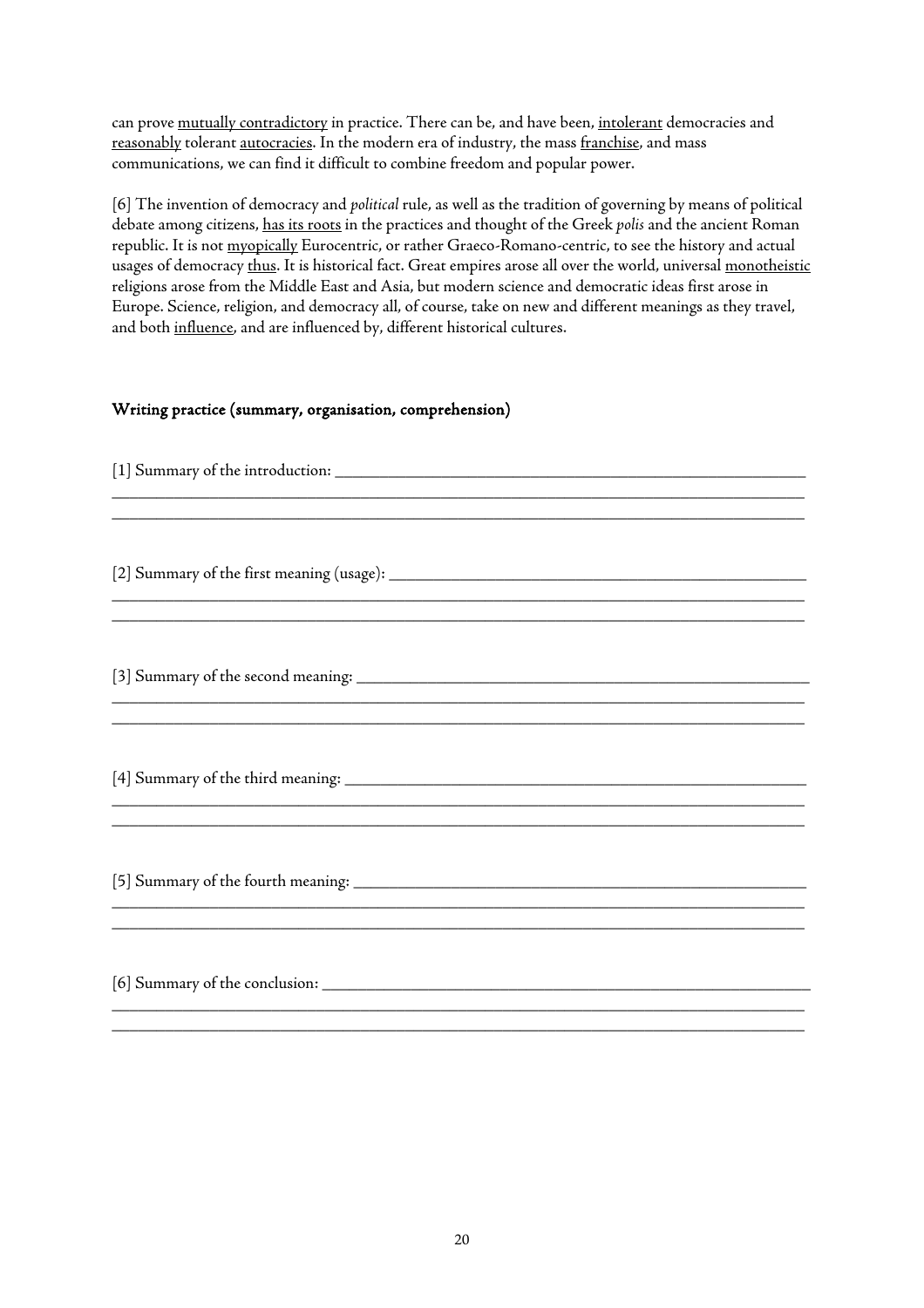can prove mutually contradictory in practice. There can be, and have been, intolerant democracies and reasonably tolerant autocracies. In the modern era of industry, the mass franchise, and mass communications, we can find it difficult to combine freedom and popular power.

[6] The invention of democracy and *political* rule, as well as the tradition of governing by means of political debate among citizens, has its roots in the practices and thought of the Greek *polis* and the ancient Roman republic. It is not myopically Eurocentric, or rather Graeco-Romano-centric, to see the history and actual usages of democracy thus. It is historical fact. Great empires arose all over the world, universal monotheistic religions arose from the Middle East and Asia, but modern science and democratic ideas first arose in Europe. Science, religion, and democracy all, of course, take on new and different meanings as they travel, and both influence, and are influenced by, different historical cultures.

# Writing practice (summary, organisation, comprehension)

| ,我们也不能在这里的,我们也不能在这里的时候,我们也不能在这里的时候,我们也不能在这里的时候,我们也不能在这里的时候,我们也不能在这里的时候,我们也不能在这里的 |  |  |  |  |
|----------------------------------------------------------------------------------|--|--|--|--|
| ,我们也不能会在这里的,我们也不能会在这里的,我们也不能会在这里,我们也不能会在这里,我们也不能会在这里的。""我们,我们也不能会不能会不能会不能会不能会不能会 |  |  |  |  |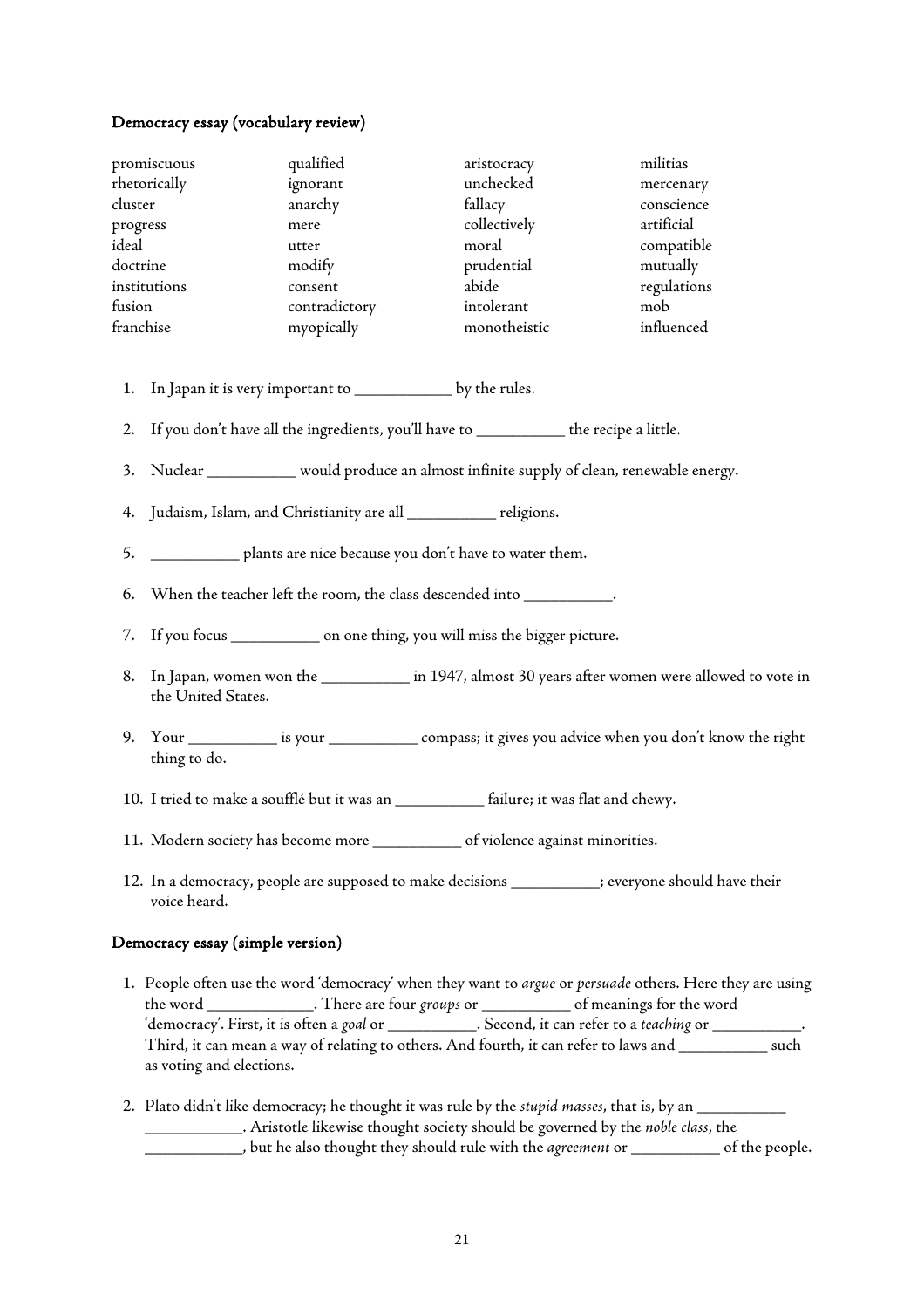#### Democracy essay (vocabulary review)

| promiscuous  | qualified     | aristocracy  | militias    |
|--------------|---------------|--------------|-------------|
| rhetorically | ignorant      | unchecked    | mercenary   |
| cluster      | anarchy       | fallacy      | conscience  |
| progress     | mere          | collectively | artificial  |
| ideal        | utter         | moral        | compatible  |
| doctrine     | modify        | prudential   | mutually    |
| institutions | consent       | abide        | regulations |
| fusion       | contradictory | intolerant   | mob         |
| franchise    | myopically    | monotheistic | influenced  |

- 1. In Japan it is very important to \_\_\_\_\_\_\_\_\_\_\_ by the rules.
- 2. If you don't have all the ingredients, you'll have to \_\_\_\_\_\_\_\_\_\_\_\_ the recipe a little.
- 3. Nuclear \_\_\_\_\_\_\_\_\_\_\_ would produce an almost infinite supply of clean, renewable energy.
- 4. Judaism, Islam, and Christianity are all \_\_\_\_\_\_\_\_\_\_ religions.
- 5. \_\_\_\_\_\_\_\_\_\_ plants are nice because you don't have to water them.
- 6. When the teacher left the room, the class descended into \_\_\_\_\_\_\_\_\_\_.
- 7. If you focus \_\_\_\_\_\_\_\_\_\_ on one thing, you will miss the bigger picture.
- 8. In Japan, women won the \_\_\_\_\_\_\_\_\_\_\_ in 1947, almost 30 years after women were allowed to vote in the United States.
- 9. Your \_\_\_\_\_\_\_\_\_\_ is your \_\_\_\_\_\_\_\_\_\_ compass; it gives you advice when you don't know the right thing to do.
- 10. I tried to make a soufflé but it was an \_\_\_\_\_\_\_\_\_\_ failure; it was flat and chewy.
- 11. Modern society has become more \_\_\_\_\_\_\_\_\_\_ of violence against minorities.
- 12. In a democracy, people are supposed to make decisions \_\_\_\_\_\_\_\_\_\_; everyone should have their voice heard.

#### Democracy essay (simple version)

- 1. People often use the word 'democracy' when they want to *argue* or *persuade* others. Here they are using the word \_\_\_\_\_\_\_\_\_\_\_\_. There are four *groups* or \_\_\_\_\_\_\_\_\_\_ of meanings for the word 'democracy'. First, it is often a *goal* or \_\_\_\_\_\_\_\_\_\_. Second, it can refer to a *teaching* or \_\_\_\_\_\_\_\_\_\_. Third, it can mean a way of relating to others. And fourth, it can refer to laws and \_\_\_\_\_\_\_\_\_\_ such as voting and elections.
- 2. Plato didn't like democracy; he thought it was rule by the stupid masses, that is, by an \_\_\_\_\_\_\_\_\_\_\_\_\_\_\_\_\_\_\_\_\_ \_\_\_\_\_\_\_\_\_\_\_. Aristotle likewise thought society should be governed by the *noble class*, the \_\_\_\_\_\_\_\_\_\_\_, but he also thought they should rule with the *agreement* or \_\_\_\_\_\_\_\_\_\_ of the people.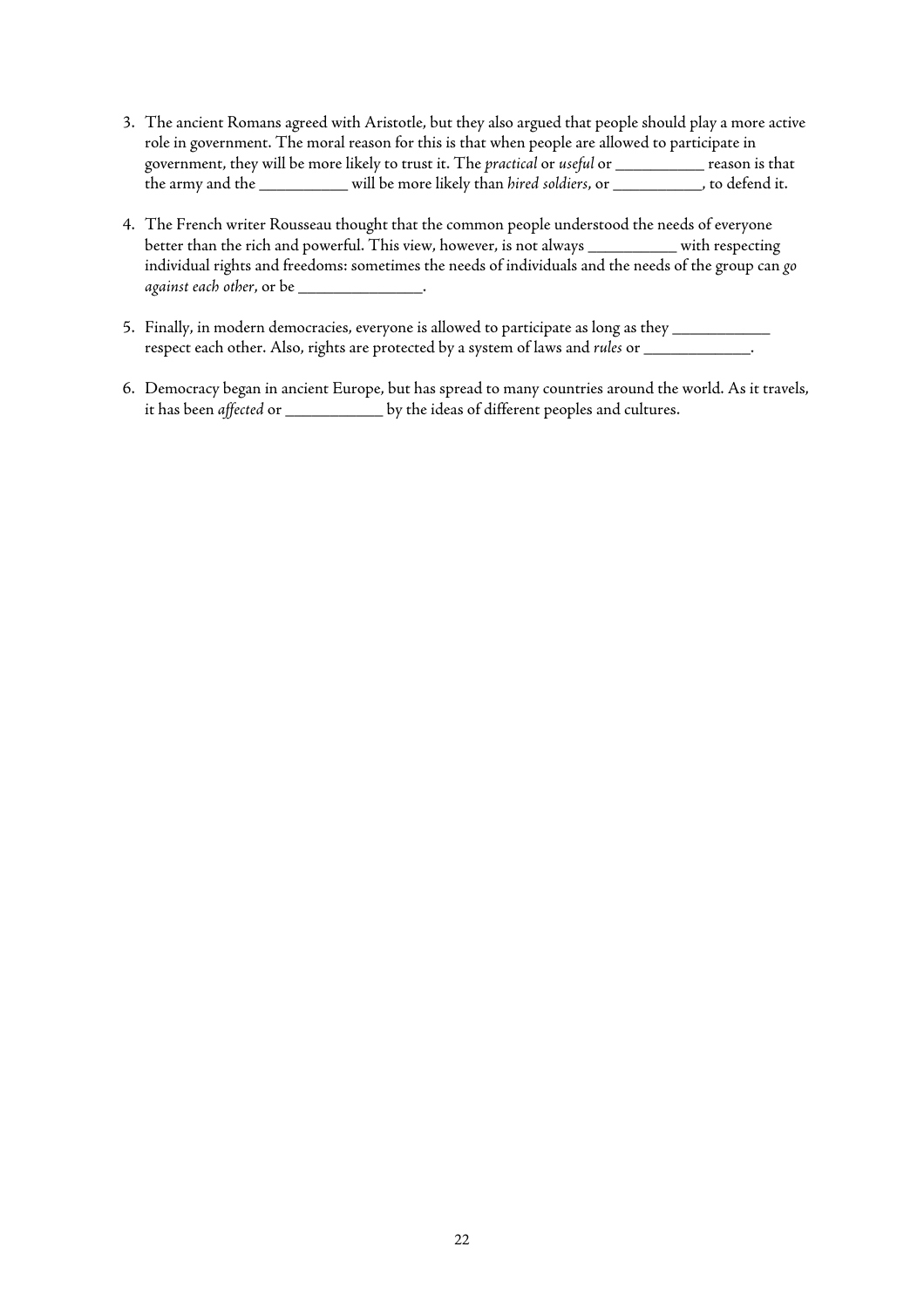- 3. The ancient Romans agreed with Aristotle, but they also argued that people should play a more active role in government. The moral reason for this is that when people are allowed to participate in government, they will be more likely to trust it. The *practical* or *useful* or \_\_\_\_\_\_\_\_\_\_ reason is that the army and the \_\_\_\_\_\_\_\_\_\_ will be more likely than *hired soldiers*, or \_\_\_\_\_\_\_\_\_\_, to defend it.
- 4. The French writer Rousseau thought that the common people understood the needs of everyone better than the rich and powerful. This view, however, is not always \_\_\_\_\_\_\_\_\_\_ with respecting individual rights and freedoms: sometimes the needs of individuals and the needs of the group can *go against each other*, or be \_\_\_\_\_\_\_\_\_\_\_\_\_\_.
- 5. Finally, in modern democracies, everyone is allowed to participate as long as they \_\_\_\_\_\_\_\_\_\_\_\_ respect each other. Also, rights are protected by a system of laws and *rules* or \_\_\_\_\_\_\_\_\_\_\_\_.
- 6. Democracy began in ancient Europe, but has spread to many countries around the world. As it travels, it has been *affected* or \_\_\_\_\_\_\_\_\_\_\_ by the ideas of different peoples and cultures.